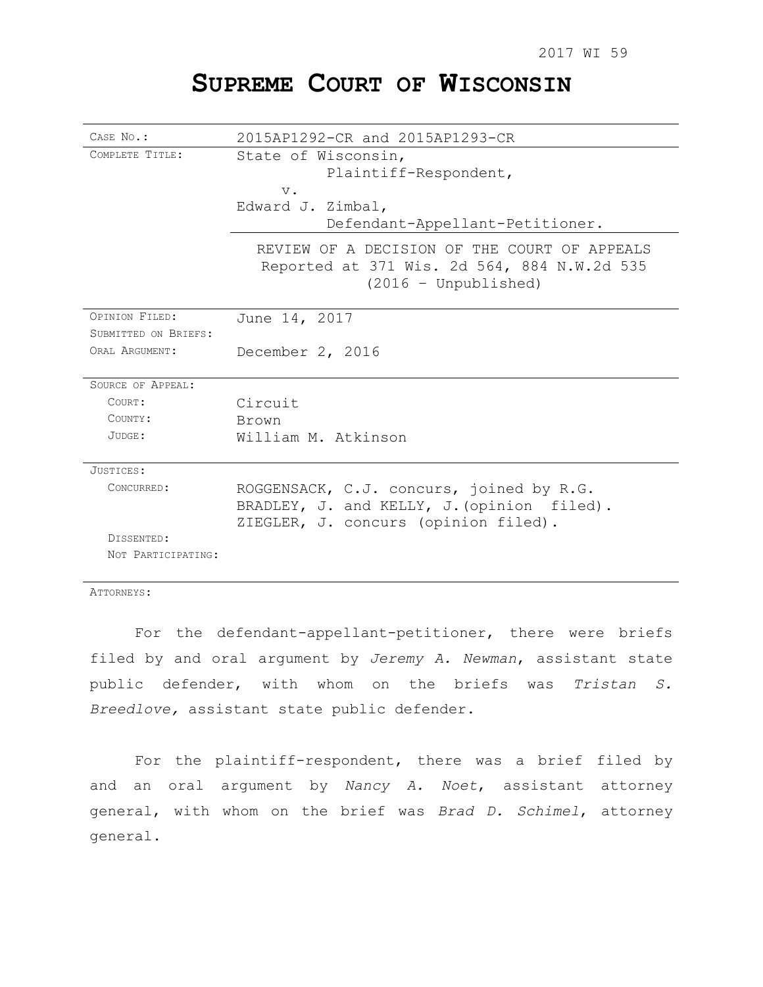# **SUPREME COURT OF WISCONSIN**

| CASE NO.:            | 2015AP1292-CR and 2015AP1293-CR                                                                                       |
|----------------------|-----------------------------------------------------------------------------------------------------------------------|
| COMPLETE TITLE:      | State of Wisconsin,                                                                                                   |
|                      | Plaintiff-Respondent,                                                                                                 |
|                      | $V$ .                                                                                                                 |
|                      | Edward J. Zimbal,                                                                                                     |
|                      | Defendant-Appellant-Petitioner.                                                                                       |
|                      | REVIEW OF A DECISION OF THE COURT OF APPEALS<br>Reported at 371 Wis. 2d 564, 884 N.W.2d 535<br>$(2016 - Unpublished)$ |
| OPINION FILED:       | June 14, 2017                                                                                                         |
| SUBMITTED ON BRIEFS: |                                                                                                                       |
| ORAT, ARGUMENT:      | December 2, 2016                                                                                                      |
| SOURCE OF APPEAL:    |                                                                                                                       |
| COURT:               | Circuit                                                                                                               |
| COUNTY:              | Brown                                                                                                                 |
| JUDGE:               | William M. Atkinson                                                                                                   |
| JUSTICES:            |                                                                                                                       |
| CONCURRED:           | ROGGENSACK, C.J. concurs, joined by R.G.                                                                              |
|                      | BRADLEY, J. and KELLY, J. (opinion filed).                                                                            |
|                      | ZIEGLER, J. concurs (opinion filed).                                                                                  |
| DISSENTED:           |                                                                                                                       |
| NOT PARTICIPATING:   |                                                                                                                       |

ATTORNEYS:

For the defendant-appellant-petitioner, there were briefs filed by and oral argument by *Jeremy A. Newman*, assistant state public defender, with whom on the briefs was *Tristan S. Breedlove,* assistant state public defender.

For the plaintiff-respondent, there was a brief filed by and an oral argument by *Nancy A. Noet*, assistant attorney general, with whom on the brief was *Brad D. Schimel*, attorney general.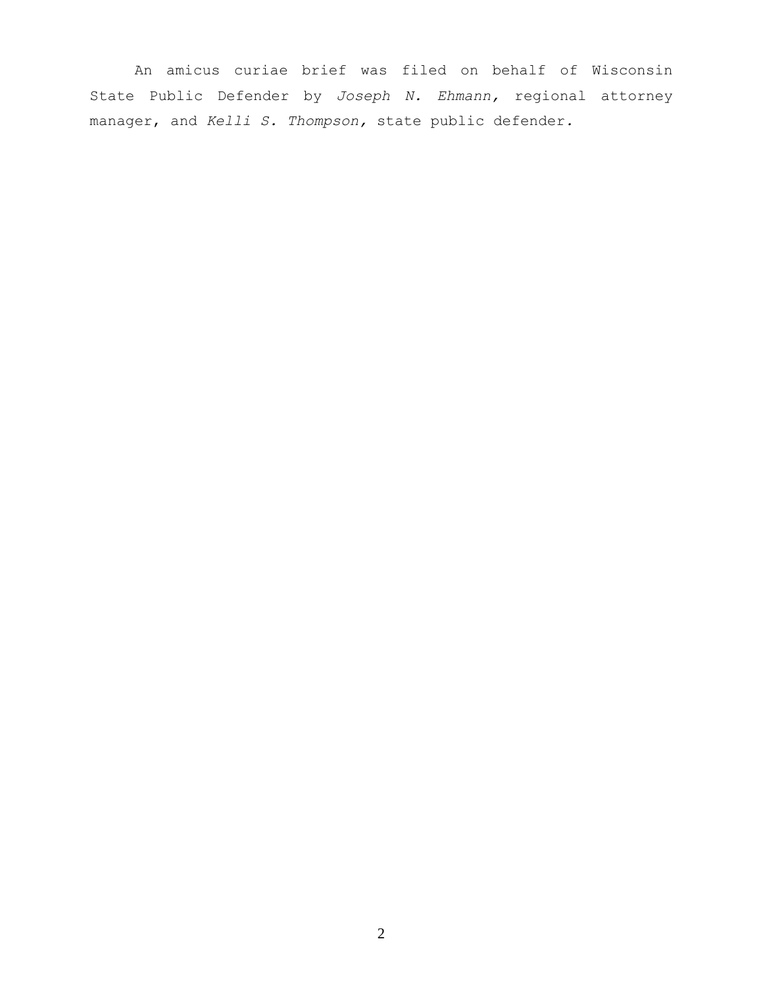An amicus curiae brief was filed on behalf of Wisconsin State Public Defender by *Joseph N. Ehmann,* regional attorney manager, and *Kelli S. Thompson,* state public defender*.*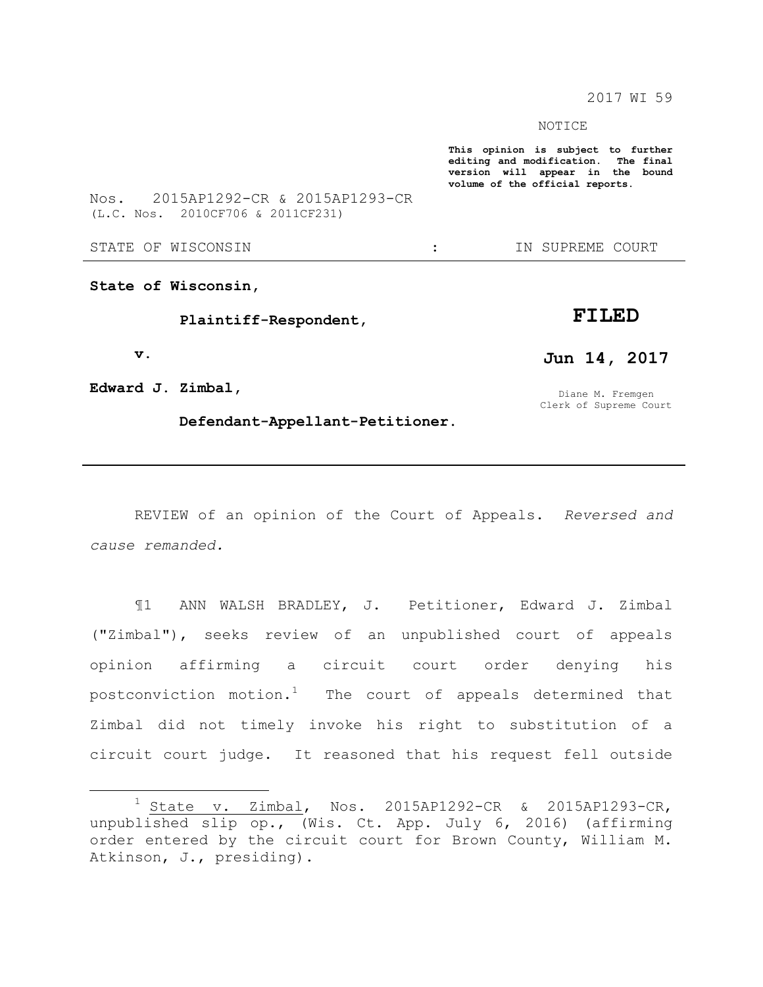2017 WI 59

NOTICE

**This opinion is subject to further editing and modification. The final version will appear in the bound volume of the official reports.** 

Nos. 2015AP1292-CR & 2015AP1293-CR (L.C. Nos. 2010CF706 & 2011CF231)

STATE OF WISCONSIN THE STATE OF WISCONSIN THE STATE OF STATE OF STATE OF STATE OF STATE OF STATE OF STATE OF STATE OF STATE OF STATE OF STATE OF STATE OF STATE OF STATE OF STATE OF STATE OF STATE OF STATE OF STATE OF STATE

**State of Wisconsin,**

 **Plaintiff-Respondent,**

 **v.**

 $\overline{a}$ 

**Edward J. Zimbal,**

**FILED Jun 14, 2017**

Diane M. Fremgen Clerk of Supreme Court

 **Defendant-Appellant-Petitioner.**

REVIEW of an opinion of the Court of Appeals. *Reversed and cause remanded.*

¶1 ANN WALSH BRADLEY, J. Petitioner, Edward J. Zimbal ("Zimbal"), seeks review of an unpublished court of appeals opinion affirming a circuit court order denying his postconviction motion.<sup>1</sup> The court of appeals determined that Zimbal did not timely invoke his right to substitution of a circuit court judge. It reasoned that his request fell outside

 $1$  State v. Zimbal, Nos. 2015AP1292-CR & 2015AP1293-CR, unpublished slip op., (Wis. Ct. App. July 6, 2016) (affirming order entered by the circuit court for Brown County, William M. Atkinson, J., presiding).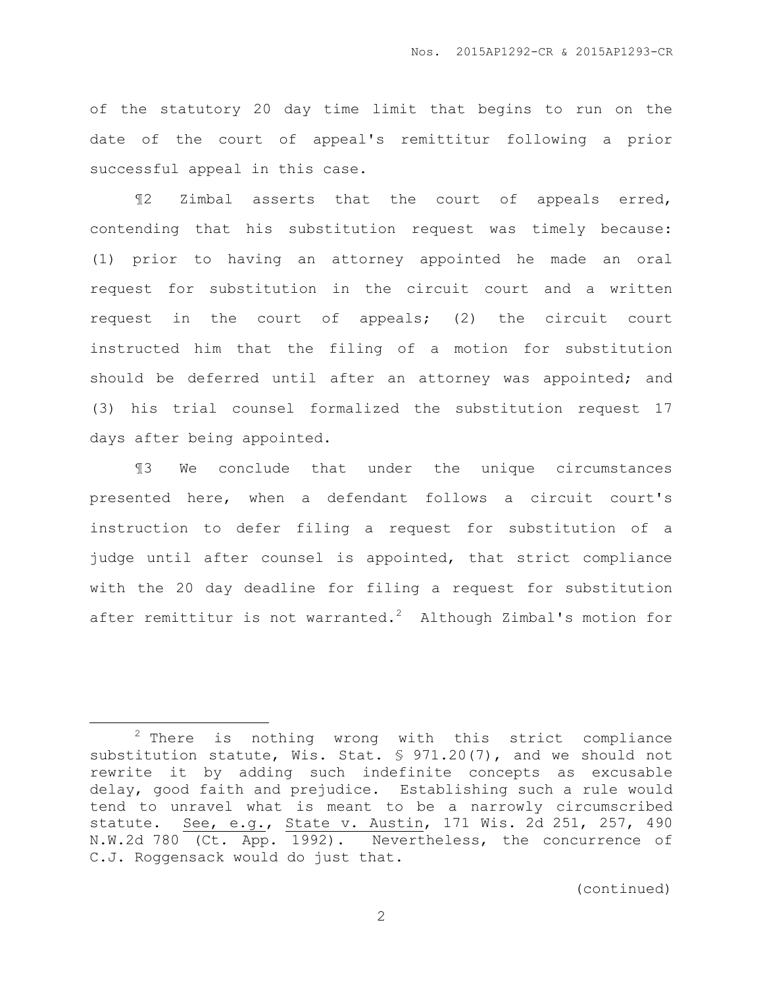of the statutory 20 day time limit that begins to run on the date of the court of appeal's remittitur following a prior successful appeal in this case.

¶2 Zimbal asserts that the court of appeals erred, contending that his substitution request was timely because: (1) prior to having an attorney appointed he made an oral request for substitution in the circuit court and a written request in the court of appeals; (2) the circuit court instructed him that the filing of a motion for substitution should be deferred until after an attorney was appointed; and (3) his trial counsel formalized the substitution request 17 days after being appointed.

¶3 We conclude that under the unique circumstances presented here, when a defendant follows a circuit court's instruction to defer filing a request for substitution of a judge until after counsel is appointed, that strict compliance with the 20 day deadline for filing a request for substitution after remittitur is not warranted.<sup>2</sup> Although Zimbal's motion for

 $\overline{a}$ 

 $2$  There is nothing wrong with this strict compliance substitution statute, Wis. Stat. § 971.20(7), and we should not rewrite it by adding such indefinite concepts as excusable delay, good faith and prejudice. Establishing such a rule would tend to unravel what is meant to be a narrowly circumscribed statute. **See, e.g., State v. Austin, 171 Wis. 2d 251, 257, 490** N.W.2d 780 (Ct. App. 1992). Nevertheless, the concurrence of C.J. Roggensack would do just that.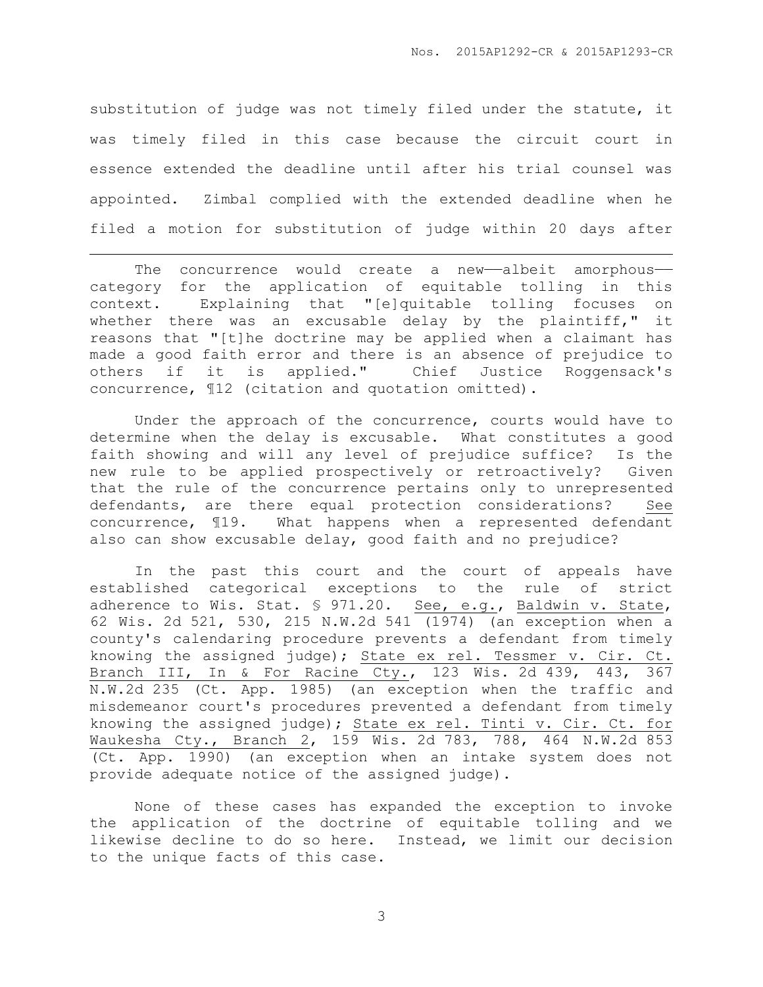substitution of judge was not timely filed under the statute, it was timely filed in this case because the circuit court in essence extended the deadline until after his trial counsel was appointed. Zimbal complied with the extended deadline when he filed a motion for substitution of judge within 20 days after

The concurrence would create a new-albeit amorphouscategory for the application of equitable tolling in this context. Explaining that "[e]quitable tolling focuses on whether there was an excusable delay by the plaintiff," it reasons that "[t]he doctrine may be applied when a claimant has made a good faith error and there is an absence of prejudice to others if it is applied." Chief Justice Roggensack's concurrence, ¶12 (citation and quotation omitted).

 $\overline{a}$ 

Under the approach of the concurrence, courts would have to determine when the delay is excusable. What constitutes a good faith showing and will any level of prejudice suffice? Is the new rule to be applied prospectively or retroactively? Given that the rule of the concurrence pertains only to unrepresented defendants, are there equal protection considerations? See concurrence, ¶19. What happens when a represented defendant also can show excusable delay, good faith and no prejudice?

In the past this court and the court of appeals have established categorical exceptions to the rule of strict adherence to Wis. Stat. § 971.20. See, e.g., Baldwin v. State, 62 Wis. 2d 521, 530, 215 N.W.2d 541 (1974) (an exception when a county's calendaring procedure prevents a defendant from timely knowing the assigned judge); State ex rel. Tessmer v. Cir. Ct. Branch III, In & For Racine Cty., 123 Wis. 2d 439, 443, 367 N.W.2d 235 (Ct. App. 1985) (an exception when the traffic and misdemeanor court's procedures prevented a defendant from timely knowing the assigned judge); State ex rel. Tinti v. Cir. Ct. for Waukesha Cty., Branch 2, 159 Wis. 2d 783, 788, 464 N.W.2d 853 (Ct. App. 1990) (an exception when an intake system does not provide adequate notice of the assigned judge).

None of these cases has expanded the exception to invoke the application of the doctrine of equitable tolling and we likewise decline to do so here. Instead, we limit our decision to the unique facts of this case.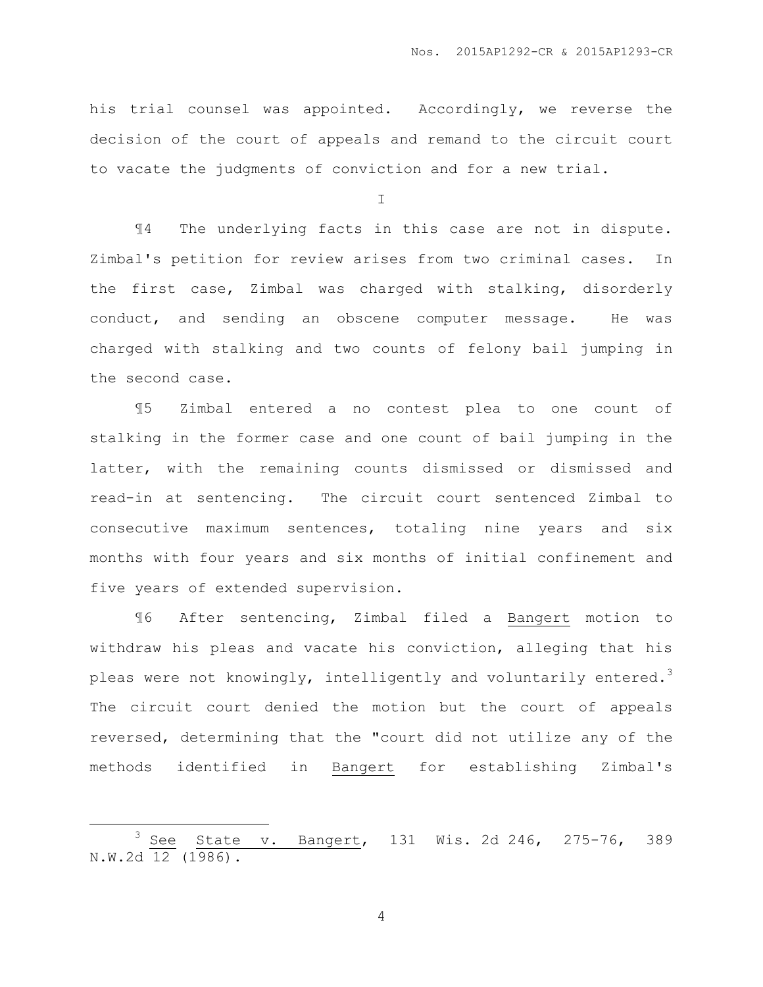his trial counsel was appointed. Accordingly, we reverse the decision of the court of appeals and remand to the circuit court to vacate the judgments of conviction and for a new trial.

 $\top$ 

¶4 The underlying facts in this case are not in dispute. Zimbal's petition for review arises from two criminal cases. In the first case, Zimbal was charged with stalking, disorderly conduct, and sending an obscene computer message. He was charged with stalking and two counts of felony bail jumping in the second case.

¶5 Zimbal entered a no contest plea to one count of stalking in the former case and one count of bail jumping in the latter, with the remaining counts dismissed or dismissed and read-in at sentencing. The circuit court sentenced Zimbal to consecutive maximum sentences, totaling nine years and six months with four years and six months of initial confinement and five years of extended supervision.

¶6 After sentencing, Zimbal filed a Bangert motion to withdraw his pleas and vacate his conviction, alleging that his pleas were not knowingly, intelligently and voluntarily entered.<sup>3</sup> The circuit court denied the motion but the court of appeals reversed, determining that the "court did not utilize any of the methods identified in Bangert for establishing Zimbal's

 $\overline{a}$ 

<sup>3</sup> See State v. Bangert, 131 Wis. 2d 246, 275-76, 389 N.W.2d 12 (1986).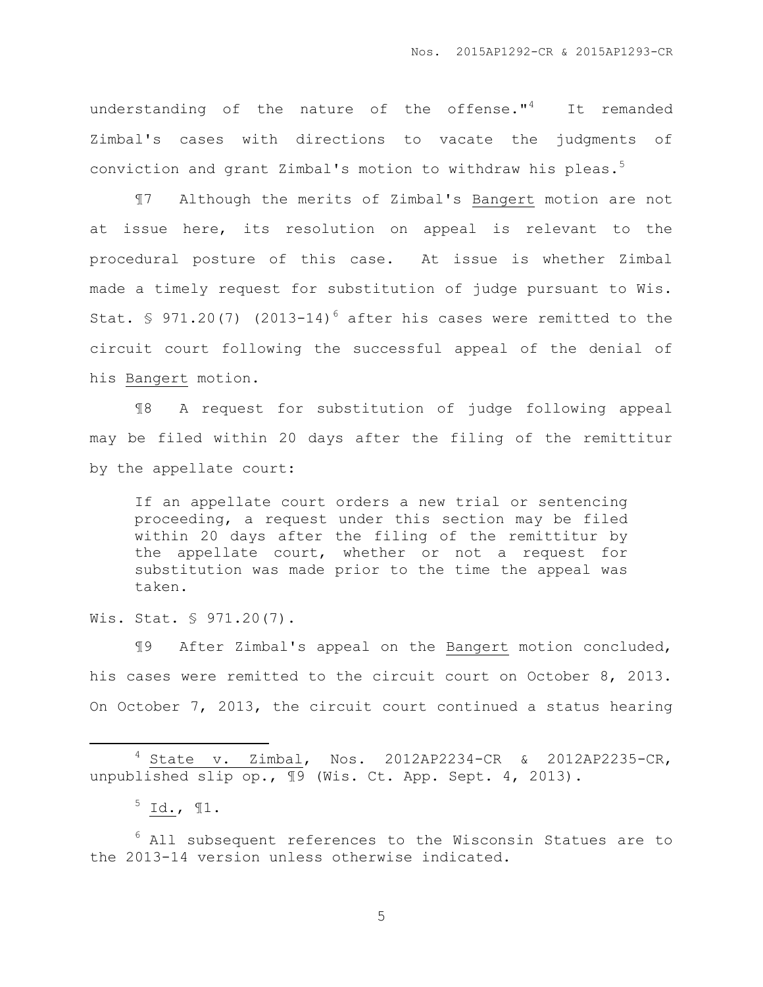understanding of the nature of the offense."<sup>4</sup> It remanded Zimbal's cases with directions to vacate the judgments of conviction and grant Zimbal's motion to withdraw his pleas.<sup>5</sup>

¶7 Although the merits of Zimbal's Bangert motion are not at issue here, its resolution on appeal is relevant to the procedural posture of this case. At issue is whether Zimbal made a timely request for substitution of judge pursuant to Wis. Stat. § 971.20(7) (2013-14)<sup>6</sup> after his cases were remitted to the circuit court following the successful appeal of the denial of his Bangert motion.

¶8 A request for substitution of judge following appeal may be filed within 20 days after the filing of the remittitur by the appellate court:

If an appellate court orders a new trial or sentencing proceeding, a request under this section may be filed within 20 days after the filing of the remittitur by the appellate court, whether or not a request for substitution was made prior to the time the appeal was taken.

Wis. Stat. § 971.20(7).

¶9 After Zimbal's appeal on the Bangert motion concluded, his cases were remitted to the circuit court on October 8, 2013. On October 7, 2013, the circuit court continued a status hearing

<sup>4</sup> State v. Zimbal, Nos. 2012AP2234-CR & 2012AP2235-CR, unpublished slip op.,  $\overline{19}$  (Wis. Ct. App. Sept. 4, 2013).

 $^5$  Id.,  $\P1$ .

 $\overline{a}$ 

 $6$  All subsequent references to the Wisconsin Statues are to the 2013-14 version unless otherwise indicated.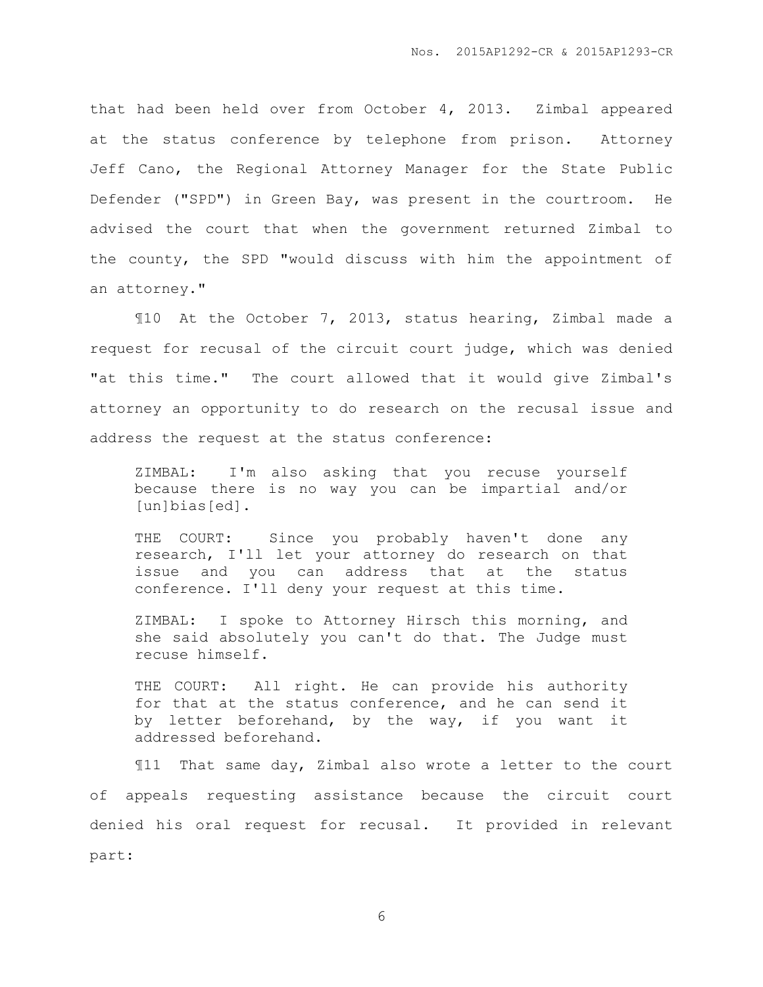that had been held over from October 4, 2013. Zimbal appeared at the status conference by telephone from prison. Attorney Jeff Cano, the Regional Attorney Manager for the State Public Defender ("SPD") in Green Bay, was present in the courtroom. He advised the court that when the government returned Zimbal to the county, the SPD "would discuss with him the appointment of an attorney."

¶10 At the October 7, 2013, status hearing, Zimbal made a request for recusal of the circuit court judge, which was denied "at this time." The court allowed that it would give Zimbal's attorney an opportunity to do research on the recusal issue and address the request at the status conference:

ZIMBAL: I'm also asking that you recuse yourself because there is no way you can be impartial and/or [un]bias[ed].

THE COURT: Since you probably haven't done any research, I'll let your attorney do research on that issue and you can address that at the status conference. I'll deny your request at this time.

ZIMBAL: I spoke to Attorney Hirsch this morning, and she said absolutely you can't do that. The Judge must recuse himself.

THE COURT: All right. He can provide his authority for that at the status conference, and he can send it by letter beforehand, by the way, if you want it addressed beforehand.

¶11 That same day, Zimbal also wrote a letter to the court of appeals requesting assistance because the circuit court denied his oral request for recusal. It provided in relevant part: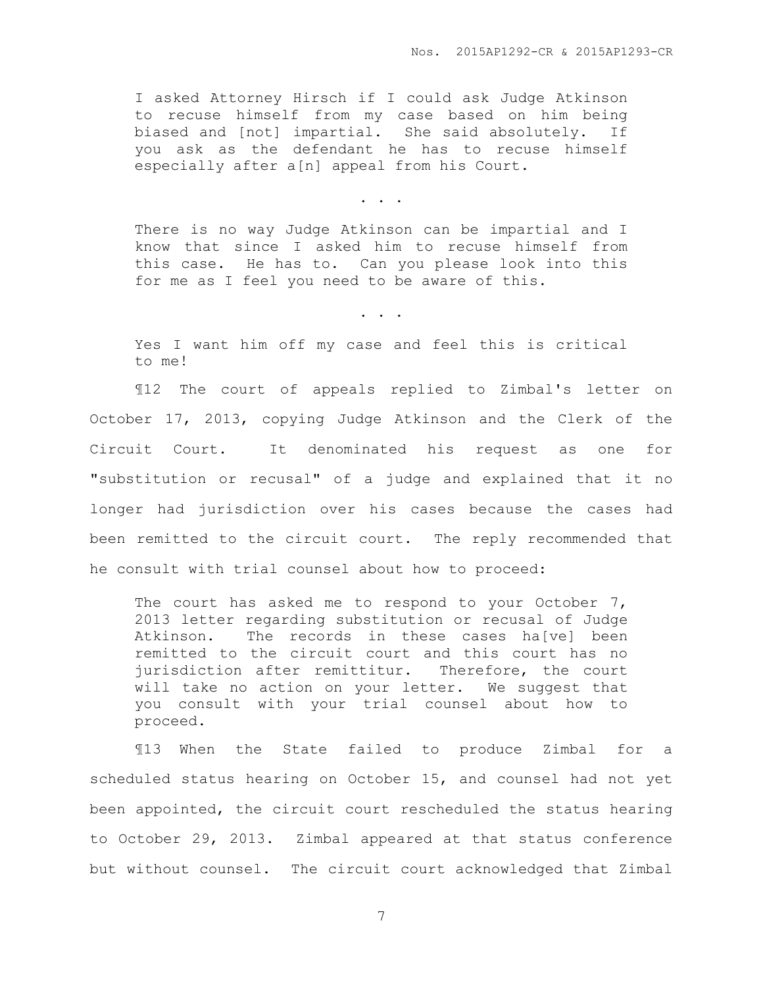I asked Attorney Hirsch if I could ask Judge Atkinson to recuse himself from my case based on him being biased and [not] impartial. She said absolutely. If you ask as the defendant he has to recuse himself especially after a[n] appeal from his Court.

. . .

There is no way Judge Atkinson can be impartial and I know that since I asked him to recuse himself from this case. He has to. Can you please look into this for me as I feel you need to be aware of this.

Yes I want him off my case and feel this is critical to me!

. . .

¶12 The court of appeals replied to Zimbal's letter on October 17, 2013, copying Judge Atkinson and the Clerk of the Circuit Court. It denominated his request as one for "substitution or recusal" of a judge and explained that it no longer had jurisdiction over his cases because the cases had been remitted to the circuit court. The reply recommended that he consult with trial counsel about how to proceed:

The court has asked me to respond to your October 7, 2013 letter regarding substitution or recusal of Judge Atkinson. The records in these cases ha[ve] been remitted to the circuit court and this court has no jurisdiction after remittitur. Therefore, the court will take no action on your letter. We suggest that you consult with your trial counsel about how to proceed.

¶13 When the State failed to produce Zimbal for a scheduled status hearing on October 15, and counsel had not yet been appointed, the circuit court rescheduled the status hearing to October 29, 2013. Zimbal appeared at that status conference but without counsel. The circuit court acknowledged that Zimbal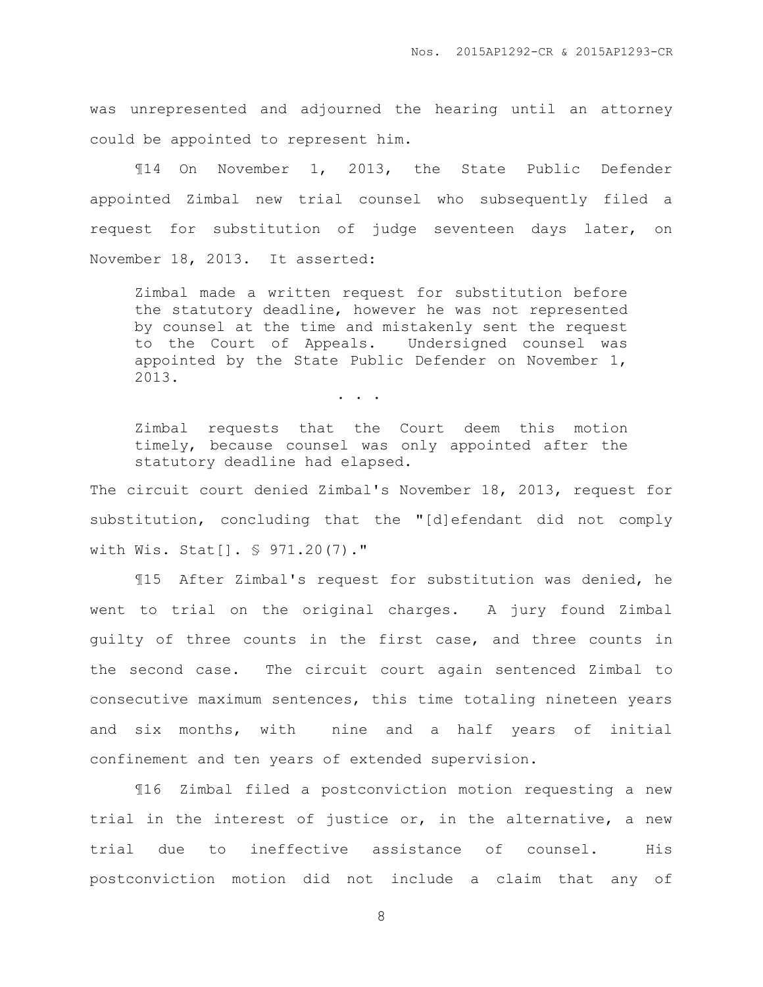Nos. 2015AP1292-CR & 2015AP1293-CR

was unrepresented and adjourned the hearing until an attorney could be appointed to represent him.

¶14 On November 1, 2013, the State Public Defender appointed Zimbal new trial counsel who subsequently filed a request for substitution of judge seventeen days later, on November 18, 2013. It asserted:

Zimbal made a written request for substitution before the statutory deadline, however he was not represented by counsel at the time and mistakenly sent the request to the Court of Appeals. Undersigned counsel was appointed by the State Public Defender on November 1, 2013.

. . .

Zimbal requests that the Court deem this motion timely, because counsel was only appointed after the statutory deadline had elapsed.

The circuit court denied Zimbal's November 18, 2013, request for substitution, concluding that the "[d]efendant did not comply with Wis. Stat[]. § 971.20(7)."

¶15 After Zimbal's request for substitution was denied, he went to trial on the original charges. A jury found Zimbal guilty of three counts in the first case, and three counts in the second case. The circuit court again sentenced Zimbal to consecutive maximum sentences, this time totaling nineteen years and six months, with nine and a half years of initial confinement and ten years of extended supervision.

¶16 Zimbal filed a postconviction motion requesting a new trial in the interest of justice or, in the alternative, a new trial due to ineffective assistance of counsel. His postconviction motion did not include a claim that any of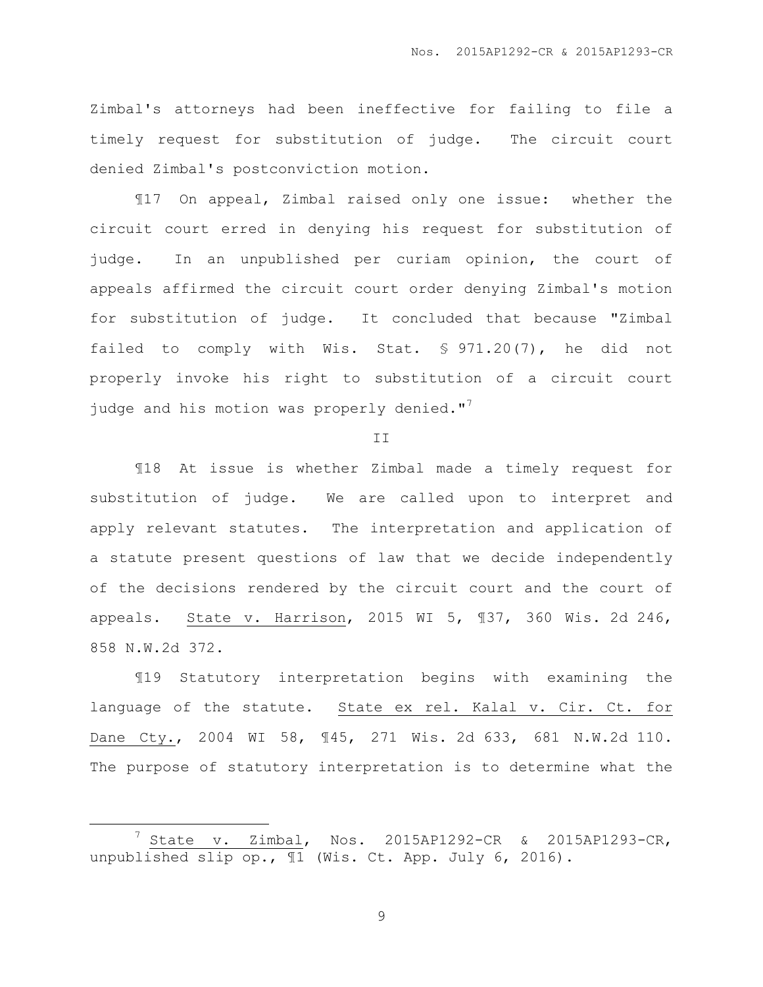Zimbal's attorneys had been ineffective for failing to file a timely request for substitution of judge. The circuit court denied Zimbal's postconviction motion.

¶17 On appeal, Zimbal raised only one issue: whether the circuit court erred in denying his request for substitution of judge. In an unpublished per curiam opinion, the court of appeals affirmed the circuit court order denying Zimbal's motion for substitution of judge. It concluded that because "Zimbal failed to comply with Wis. Stat. § 971.20(7), he did not properly invoke his right to substitution of a circuit court judge and his motion was properly denied."<sup>7</sup>

II

¶18 At issue is whether Zimbal made a timely request for substitution of judge. We are called upon to interpret and apply relevant statutes. The interpretation and application of a statute present questions of law that we decide independently of the decisions rendered by the circuit court and the court of appeals. State v. Harrison, 2015 WI 5, ¶37, 360 Wis. 2d 246, 858 N.W.2d 372.

¶19 Statutory interpretation begins with examining the language of the statute. State ex rel. Kalal v. Cir. Ct. for Dane Cty., 2004 WI 58, ¶45, 271 Wis. 2d 633, 681 N.W.2d 110. The purpose of statutory interpretation is to determine what the

 $\overline{a}$ 

<sup>7</sup> State v. Zimbal, Nos. 2015AP1292-CR & 2015AP1293-CR, unpublished slip op., ¶1 (Wis. Ct. App. July 6, 2016).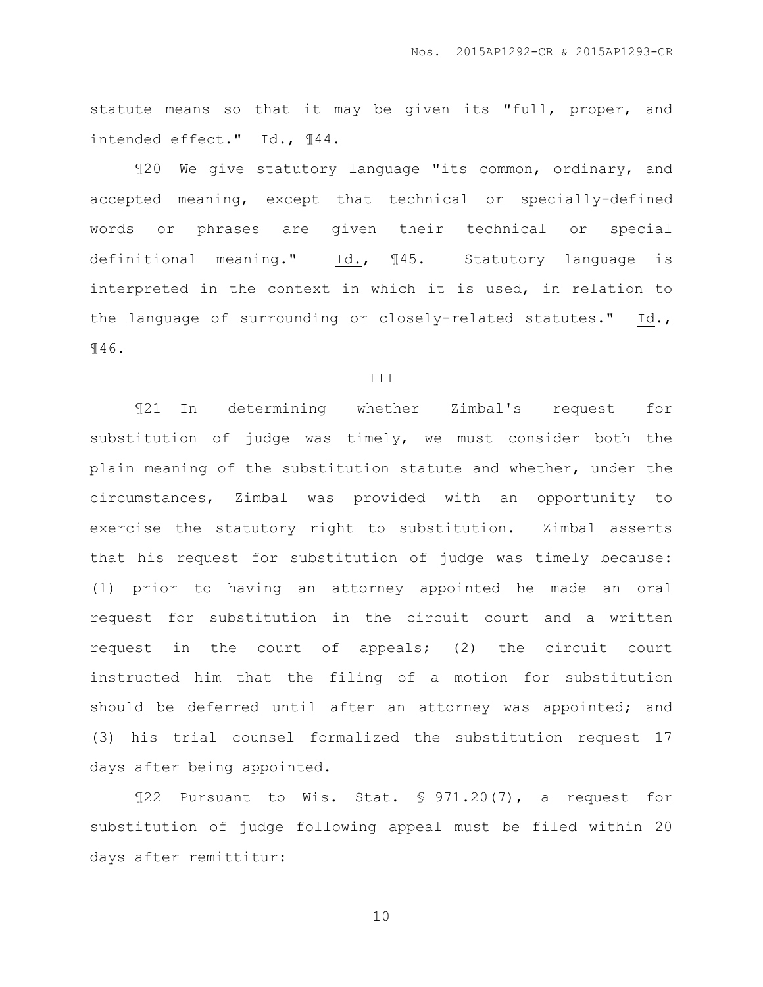statute means so that it may be given its "full, proper, and intended effect." Id., ¶44.

¶20 We give statutory language "its common, ordinary, and accepted meaning, except that technical or specially-defined words or phrases are given their technical or special definitional meaning." Id., ¶45. Statutory language is interpreted in the context in which it is used, in relation to the language of surrounding or closely-related statutes." Id., ¶46.

#### III

¶21 In determining whether Zimbal's request for substitution of judge was timely, we must consider both the plain meaning of the substitution statute and whether, under the circumstances, Zimbal was provided with an opportunity to exercise the statutory right to substitution. Zimbal asserts that his request for substitution of judge was timely because: (1) prior to having an attorney appointed he made an oral request for substitution in the circuit court and a written request in the court of appeals; (2) the circuit court instructed him that the filing of a motion for substitution should be deferred until after an attorney was appointed; and (3) his trial counsel formalized the substitution request 17 days after being appointed.

¶22 Pursuant to Wis. Stat. § 971.20(7), a request for substitution of judge following appeal must be filed within 20 days after remittitur: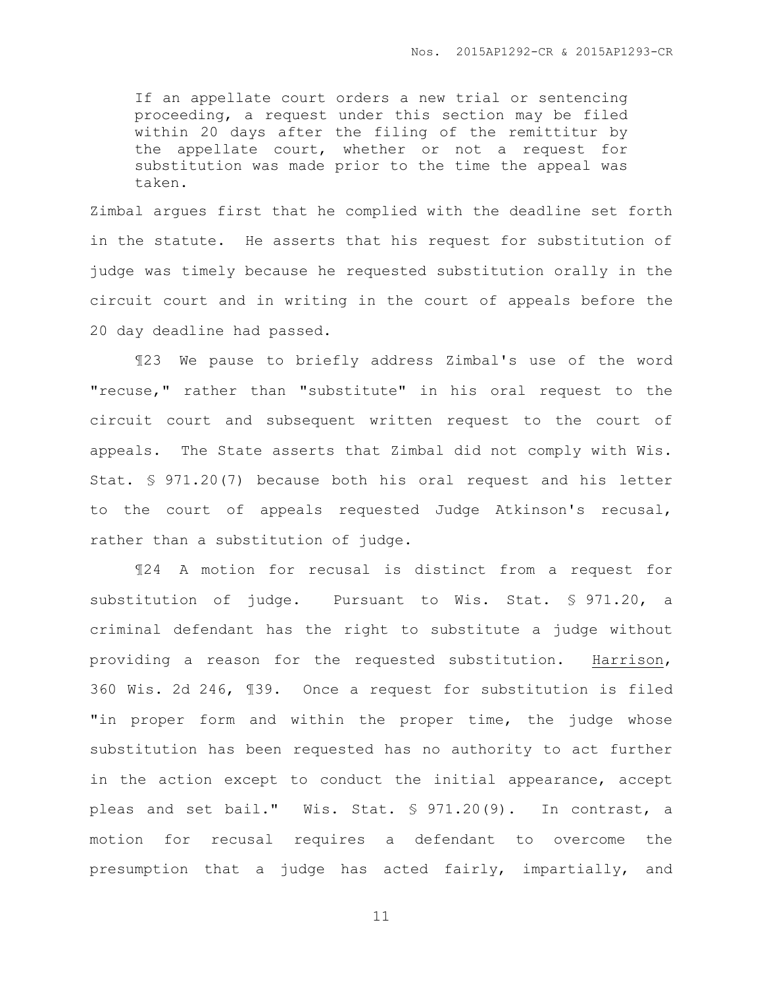If an appellate court orders a new trial or sentencing proceeding, a request under this section may be filed within 20 days after the filing of the remittitur by the appellate court, whether or not a request for substitution was made prior to the time the appeal was taken.

Zimbal argues first that he complied with the deadline set forth in the statute. He asserts that his request for substitution of judge was timely because he requested substitution orally in the circuit court and in writing in the court of appeals before the 20 day deadline had passed.

¶23 We pause to briefly address Zimbal's use of the word "recuse," rather than "substitute" in his oral request to the circuit court and subsequent written request to the court of appeals. The State asserts that Zimbal did not comply with Wis. Stat. § 971.20(7) because both his oral request and his letter to the court of appeals requested Judge Atkinson's recusal, rather than a substitution of judge.

¶24 A motion for recusal is distinct from a request for substitution of judge. Pursuant to Wis. Stat. § 971.20, a criminal defendant has the right to substitute a judge without providing a reason for the requested substitution. Harrison, 360 Wis. 2d 246, ¶39. Once a request for substitution is filed "in proper form and within the proper time, the judge whose substitution has been requested has no authority to act further in the action except to conduct the initial appearance, accept pleas and set bail." Wis. Stat. § 971.20(9). In contrast, a motion for recusal requires a defendant to overcome the presumption that a judge has acted fairly, impartially, and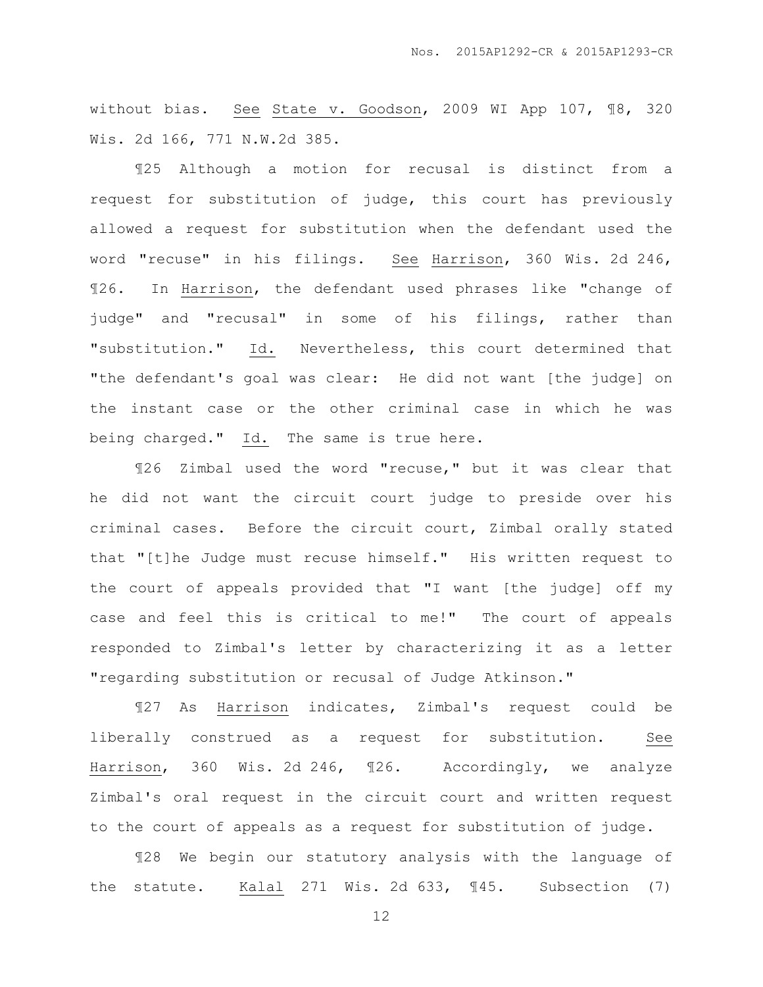without bias. See State v. Goodson, 2009 WI App 107, ¶8, 320 Wis. 2d 166, 771 N.W.2d 385.

¶25 Although a motion for recusal is distinct from a request for substitution of judge, this court has previously allowed a request for substitution when the defendant used the word "recuse" in his filings. See Harrison, 360 Wis. 2d 246, ¶26. In Harrison, the defendant used phrases like "change of judge" and "recusal" in some of his filings, rather than "substitution." Id. Nevertheless, this court determined that "the defendant's goal was clear: He did not want [the judge] on the instant case or the other criminal case in which he was being charged." Id. The same is true here.

¶26 Zimbal used the word "recuse," but it was clear that he did not want the circuit court judge to preside over his criminal cases. Before the circuit court, Zimbal orally stated that "[t]he Judge must recuse himself." His written request to the court of appeals provided that "I want [the judge] off my case and feel this is critical to me!" The court of appeals responded to Zimbal's letter by characterizing it as a letter "regarding substitution or recusal of Judge Atkinson."

¶27 As Harrison indicates, Zimbal's request could be liberally construed as a request for substitution. See Harrison, 360 Wis. 2d 246, ¶26. Accordingly, we analyze Zimbal's oral request in the circuit court and written request to the court of appeals as a request for substitution of judge.

¶28 We begin our statutory analysis with the language of the statute. Kalal 271 Wis. 2d 633, ¶45. Subsection (7)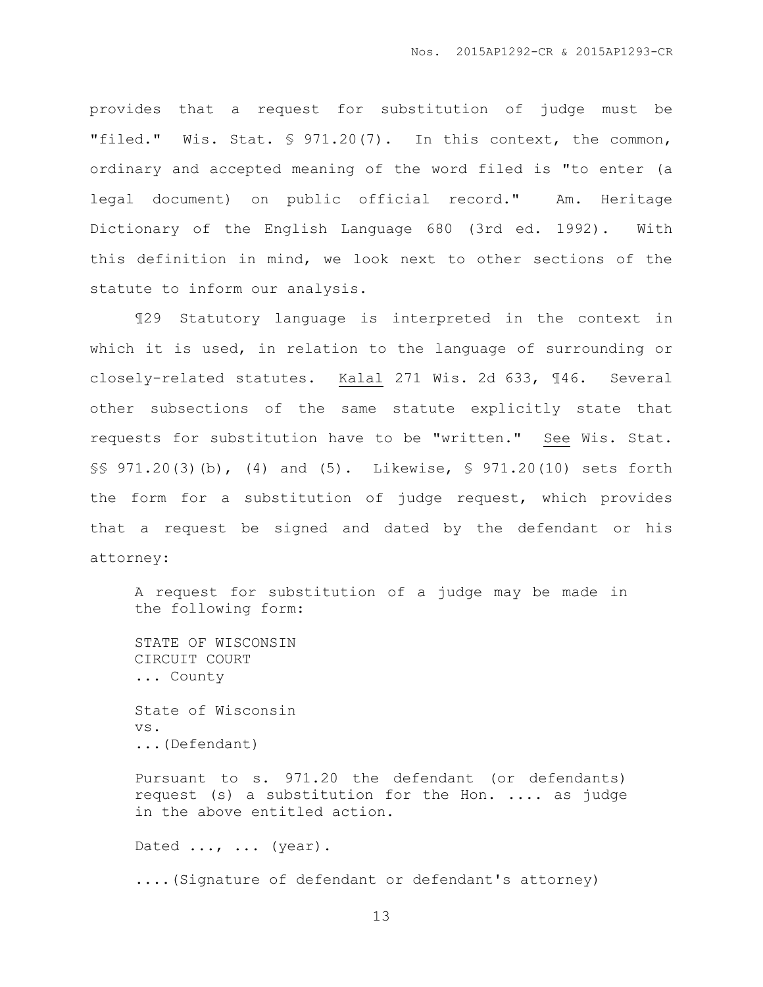provides that a request for substitution of judge must be "filed." Wis. Stat. § 971.20(7). In this context, the common, ordinary and accepted meaning of the word filed is "to enter (a legal document) on public official record." Am. Heritage Dictionary of the English Language 680 (3rd ed. 1992). With this definition in mind, we look next to other sections of the statute to inform our analysis.

¶29 Statutory language is interpreted in the context in which it is used, in relation to the language of surrounding or closely-related statutes. Kalal 271 Wis. 2d 633, ¶46. Several other subsections of the same statute explicitly state that requests for substitution have to be "written." See Wis. Stat. §§ 971.20(3)(b), (4) and (5). Likewise, § 971.20(10) sets forth the form for a substitution of judge request, which provides that a request be signed and dated by the defendant or his attorney:

A request for substitution of a judge may be made in the following form:

STATE OF WISCONSIN CIRCUIT COURT ... County

State of Wisconsin vs. ...(Defendant)

Pursuant to s. 971.20 the defendant (or defendants) request (s) a substitution for the Hon. .... as judge in the above entitled action.

Dated ..., ... (year).

....(Signature of defendant or defendant's attorney)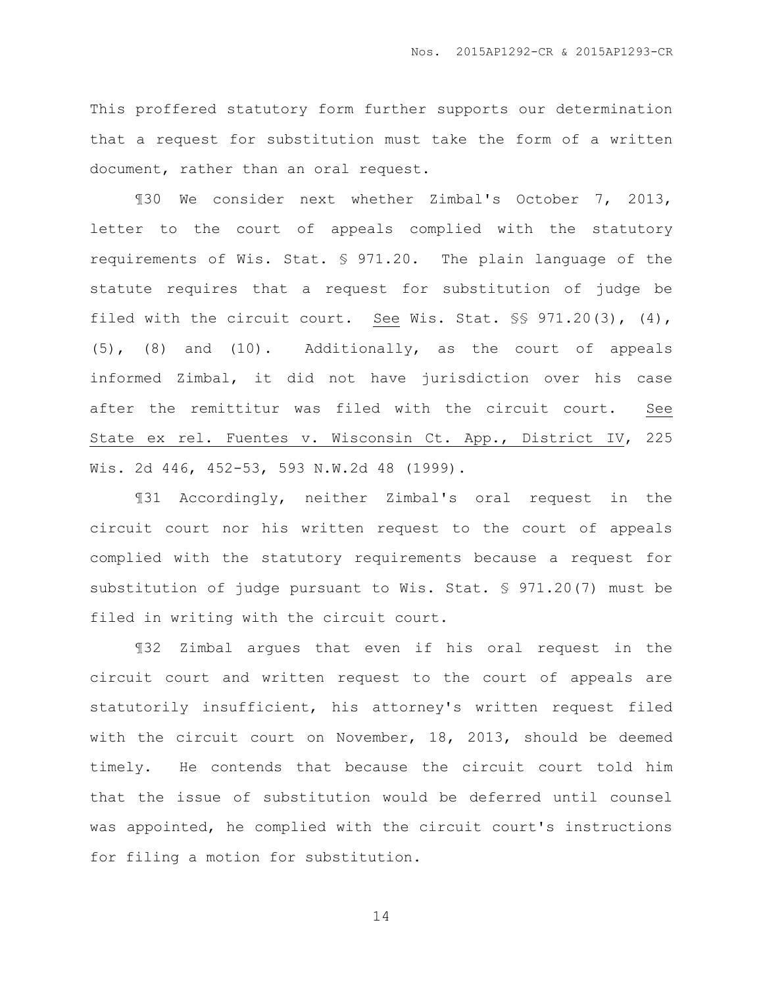This proffered statutory form further supports our determination that a request for substitution must take the form of a written document, rather than an oral request.

¶30 We consider next whether Zimbal's October 7, 2013, letter to the court of appeals complied with the statutory requirements of Wis. Stat. § 971.20. The plain language of the statute requires that a request for substitution of judge be filed with the circuit court. See Wis. Stat.  $\S$ \$ 971.20(3), (4), (5), (8) and (10). Additionally, as the court of appeals informed Zimbal, it did not have jurisdiction over his case after the remittitur was filed with the circuit court. See State ex rel. Fuentes v. Wisconsin Ct. App., District IV, 225 Wis. 2d 446, 452-53, 593 N.W.2d 48 (1999).

¶31 Accordingly, neither Zimbal's oral request in the circuit court nor his written request to the court of appeals complied with the statutory requirements because a request for substitution of judge pursuant to Wis. Stat. § 971.20(7) must be filed in writing with the circuit court.

¶32 Zimbal argues that even if his oral request in the circuit court and written request to the court of appeals are statutorily insufficient, his attorney's written request filed with the circuit court on November, 18, 2013, should be deemed timely. He contends that because the circuit court told him that the issue of substitution would be deferred until counsel was appointed, he complied with the circuit court's instructions for filing a motion for substitution.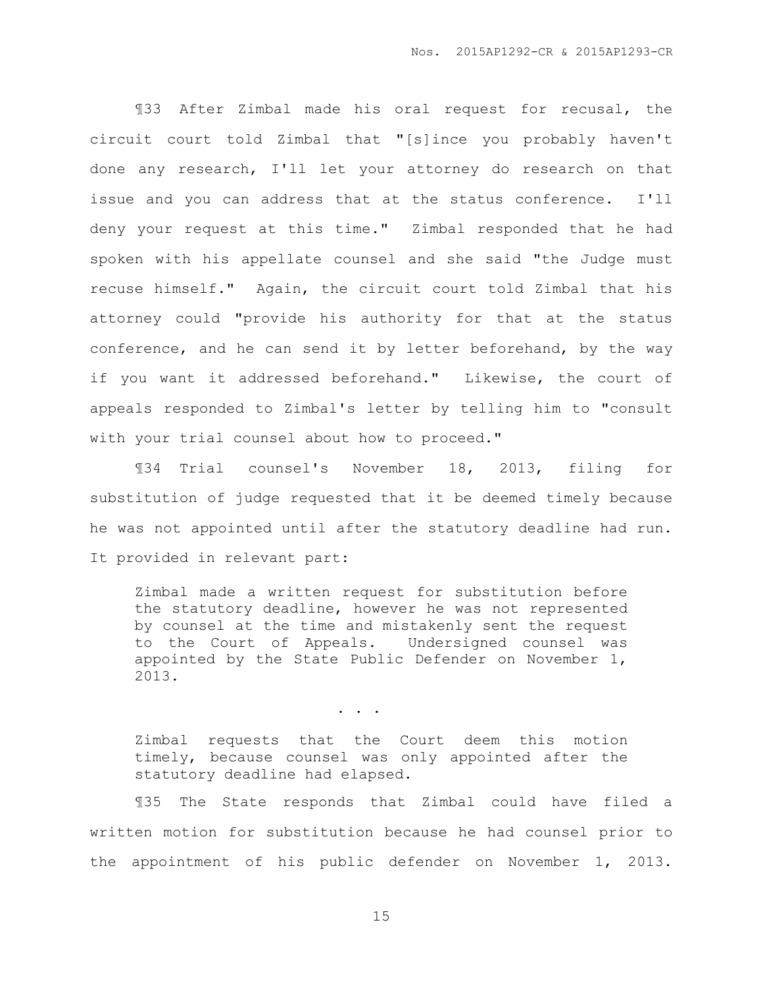¶33 After Zimbal made his oral request for recusal, the circuit court told Zimbal that "[s]ince you probably haven't done any research, I'll let your attorney do research on that issue and you can address that at the status conference. I'll deny your request at this time." Zimbal responded that he had spoken with his appellate counsel and she said "the Judge must recuse himself." Again, the circuit court told Zimbal that his attorney could "provide his authority for that at the status conference, and he can send it by letter beforehand, by the way if you want it addressed beforehand." Likewise, the court of appeals responded to Zimbal's letter by telling him to "consult with your trial counsel about how to proceed."

¶34 Trial counsel's November 18, 2013, filing for substitution of judge requested that it be deemed timely because he was not appointed until after the statutory deadline had run. It provided in relevant part:

Zimbal made a written request for substitution before the statutory deadline, however he was not represented by counsel at the time and mistakenly sent the request to the Court of Appeals. Undersigned counsel was appointed by the State Public Defender on November 1, 2013.

. . .

Zimbal requests that the Court deem this motion timely, because counsel was only appointed after the statutory deadline had elapsed.

¶35 The State responds that Zimbal could have filed a written motion for substitution because he had counsel prior to the appointment of his public defender on November 1, 2013.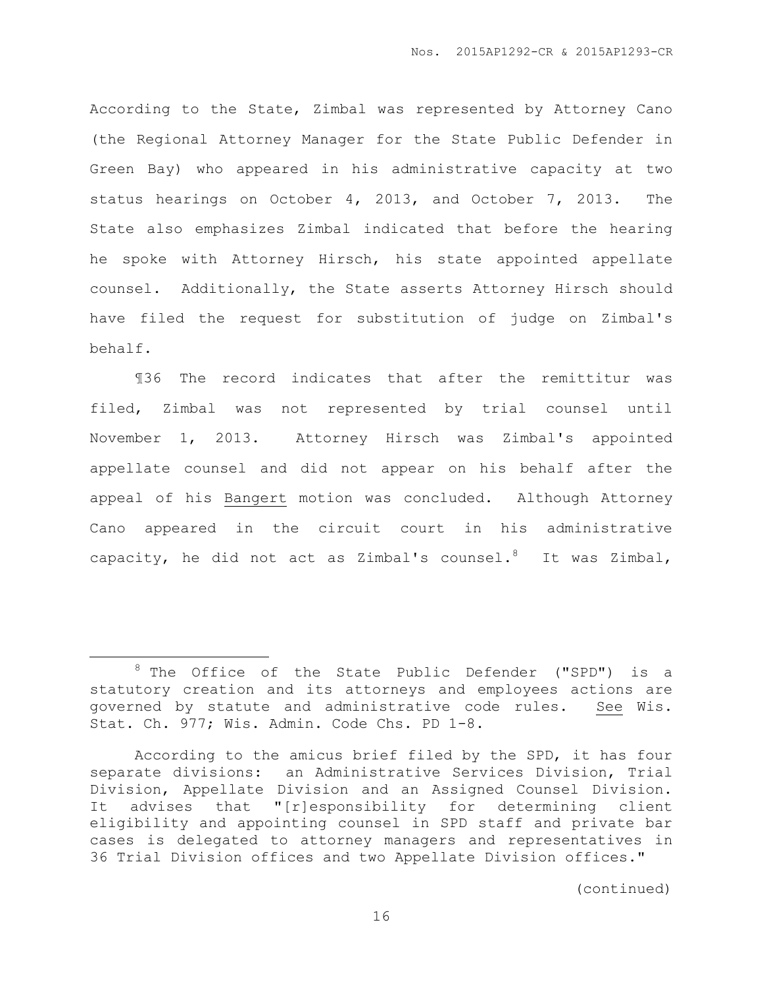According to the State, Zimbal was represented by Attorney Cano (the Regional Attorney Manager for the State Public Defender in Green Bay) who appeared in his administrative capacity at two status hearings on October 4, 2013, and October 7, 2013. The State also emphasizes Zimbal indicated that before the hearing he spoke with Attorney Hirsch, his state appointed appellate counsel. Additionally, the State asserts Attorney Hirsch should have filed the request for substitution of judge on Zimbal's behalf.

¶36 The record indicates that after the remittitur was filed, Zimbal was not represented by trial counsel until November 1, 2013. Attorney Hirsch was Zimbal's appointed appellate counsel and did not appear on his behalf after the appeal of his Bangert motion was concluded. Although Attorney Cano appeared in the circuit court in his administrative capacity, he did not act as Zimbal's counsel.<sup>8</sup> It was Zimbal,

 $\overline{a}$ 

 $8$  The Office of the State Public Defender ("SPD") is a statutory creation and its attorneys and employees actions are governed by statute and administrative code rules. See Wis. Stat. Ch. 977; Wis. Admin. Code Chs. PD 1-8.

According to the amicus brief filed by the SPD, it has four separate divisions: an Administrative Services Division, Trial Division, Appellate Division and an Assigned Counsel Division. It advises that "[r]esponsibility for determining client eligibility and appointing counsel in SPD staff and private bar cases is delegated to attorney managers and representatives in 36 Trial Division offices and two Appellate Division offices."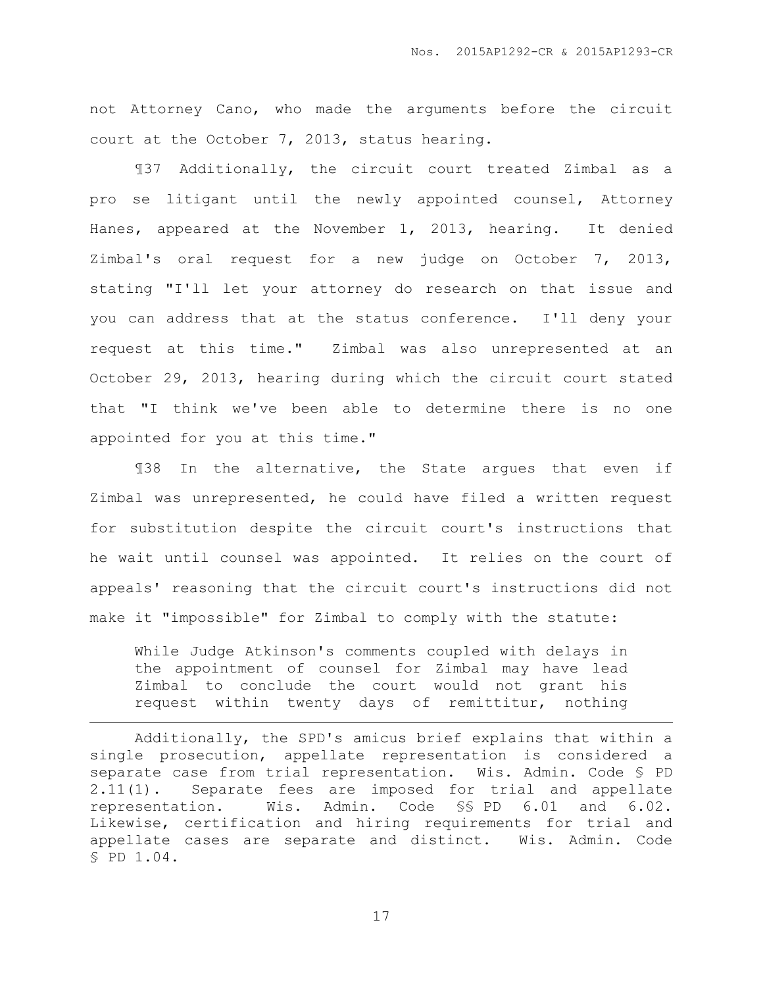not Attorney Cano, who made the arguments before the circuit court at the October 7, 2013, status hearing.

¶37 Additionally, the circuit court treated Zimbal as a pro se litigant until the newly appointed counsel, Attorney Hanes, appeared at the November 1, 2013, hearing. It denied Zimbal's oral request for a new judge on October 7, 2013, stating "I'll let your attorney do research on that issue and you can address that at the status conference. I'll deny your request at this time." Zimbal was also unrepresented at an October 29, 2013, hearing during which the circuit court stated that "I think we've been able to determine there is no one appointed for you at this time."

¶38 In the alternative, the State argues that even if Zimbal was unrepresented, he could have filed a written request for substitution despite the circuit court's instructions that he wait until counsel was appointed. It relies on the court of appeals' reasoning that the circuit court's instructions did not make it "impossible" for Zimbal to comply with the statute:

While Judge Atkinson's comments coupled with delays in the appointment of counsel for Zimbal may have lead Zimbal to conclude the court would not grant his request within twenty days of remittitur, nothing

 $\overline{a}$ 

Additionally, the SPD's amicus brief explains that within a single prosecution, appellate representation is considered a separate case from trial representation. Wis. Admin. Code § PD 2.11(1). Separate fees are imposed for trial and appellate representation. Wis. Admin. Code §§ PD 6.01 and 6.02. Likewise, certification and hiring requirements for trial and appellate cases are separate and distinct. Wis. Admin. Code § PD 1.04.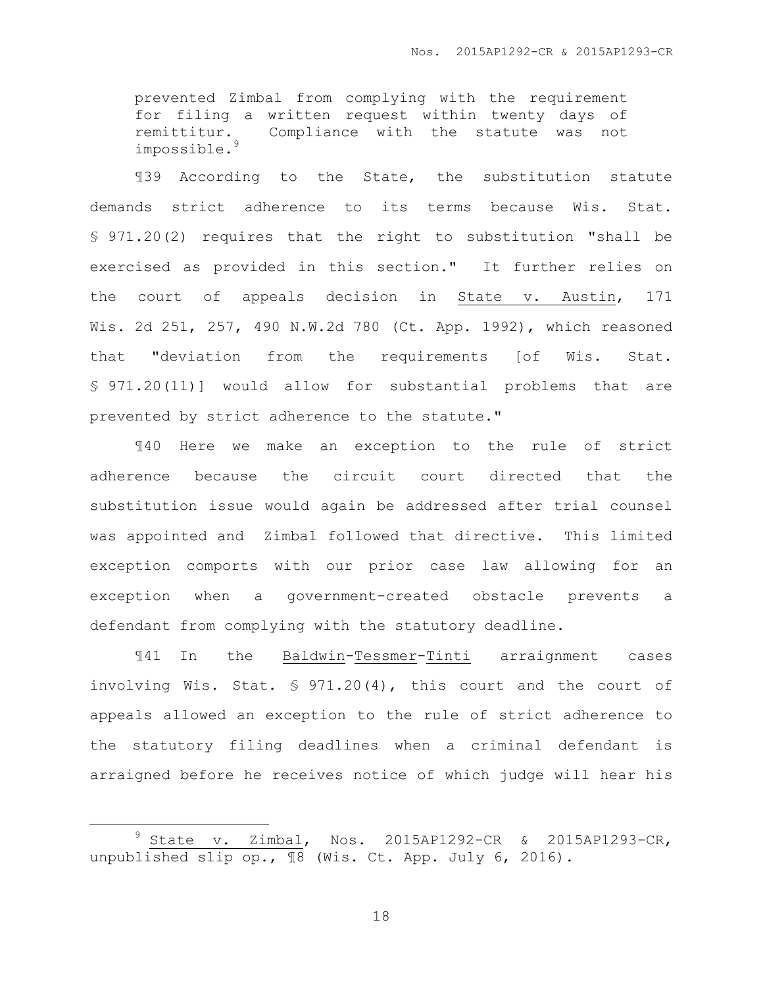prevented Zimbal from complying with the requirement for filing a written request within twenty days of remittitur. Compliance with the statute was not impossible.<sup>9</sup>

¶39 According to the State, the substitution statute demands strict adherence to its terms because Wis. Stat. § 971.20(2) requires that the right to substitution "shall be exercised as provided in this section." It further relies on the court of appeals decision in State v. Austin, 171 Wis. 2d 251, 257, 490 N.W.2d 780 (Ct. App. 1992), which reasoned that "deviation from the requirements [of Wis. Stat. § 971.20(11)] would allow for substantial problems that are prevented by strict adherence to the statute."

¶40 Here we make an exception to the rule of strict adherence because the circuit court directed that the substitution issue would again be addressed after trial counsel was appointed and Zimbal followed that directive. This limited exception comports with our prior case law allowing for an exception when a government-created obstacle prevents a defendant from complying with the statutory deadline.

¶41 In the Baldwin-Tessmer-Tinti arraignment cases involving Wis. Stat. § 971.20(4), this court and the court of appeals allowed an exception to the rule of strict adherence to the statutory filing deadlines when a criminal defendant is arraigned before he receives notice of which judge will hear his

 $\overline{a}$ 

<sup>9</sup> State v. Zimbal, Nos. 2015AP1292-CR & 2015AP1293-CR, unpublished slip op., ¶8 (Wis. Ct. App. July 6, 2016).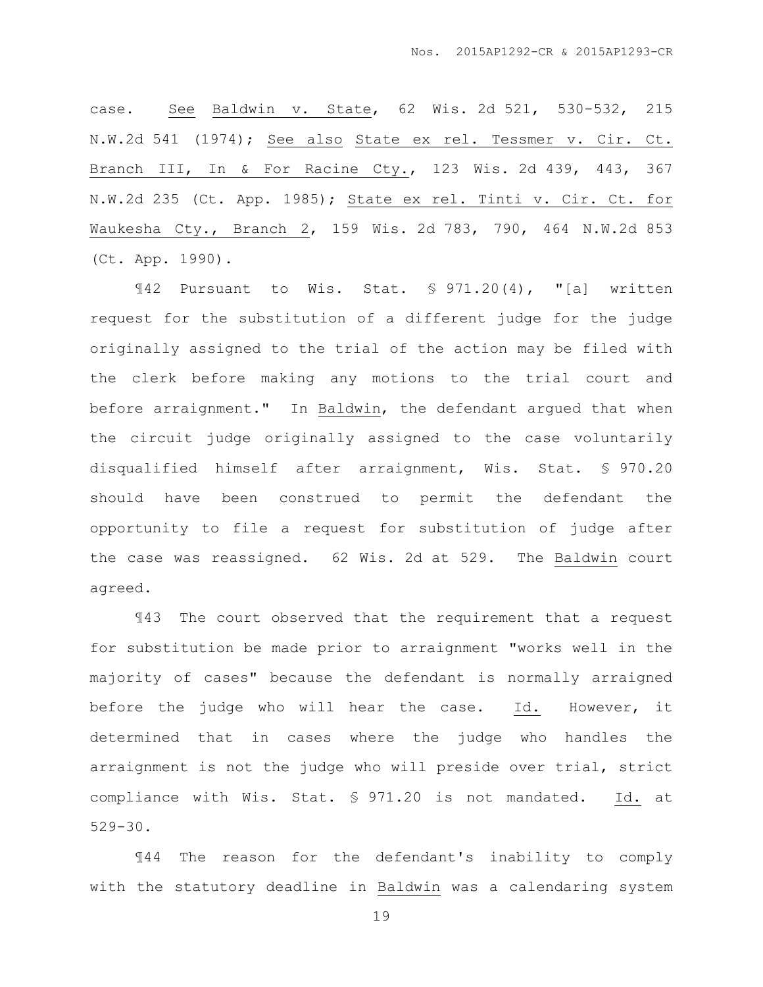case. See Baldwin v. State, 62 Wis. 2d 521, 530-532, 215 N.W.2d 541 (1974); See also State ex rel. Tessmer v. Cir. Ct. Branch III, In & For Racine Cty., 123 Wis. 2d 439, 443, 367 N.W.2d 235 (Ct. App. 1985); State ex rel. Tinti v. Cir. Ct. for Waukesha Cty., Branch 2, 159 Wis. 2d 783, 790, 464 N.W.2d 853 (Ct. App. 1990).

¶42 Pursuant to Wis. Stat. § 971.20(4), "[a] written request for the substitution of a different judge for the judge originally assigned to the trial of the action may be filed with the clerk before making any motions to the trial court and before arraignment." In Baldwin, the defendant argued that when the circuit judge originally assigned to the case voluntarily disqualified himself after arraignment, Wis. Stat. § 970.20 should have been construed to permit the defendant the opportunity to file a request for substitution of judge after the case was reassigned. 62 Wis. 2d at 529. The Baldwin court agreed.

¶43 The court observed that the requirement that a request for substitution be made prior to arraignment "works well in the majority of cases" because the defendant is normally arraigned before the judge who will hear the case. Id. However, it determined that in cases where the judge who handles the arraignment is not the judge who will preside over trial, strict compliance with Wis. Stat. § 971.20 is not mandated. Id. at 529-30.

¶44 The reason for the defendant's inability to comply with the statutory deadline in Baldwin was a calendaring system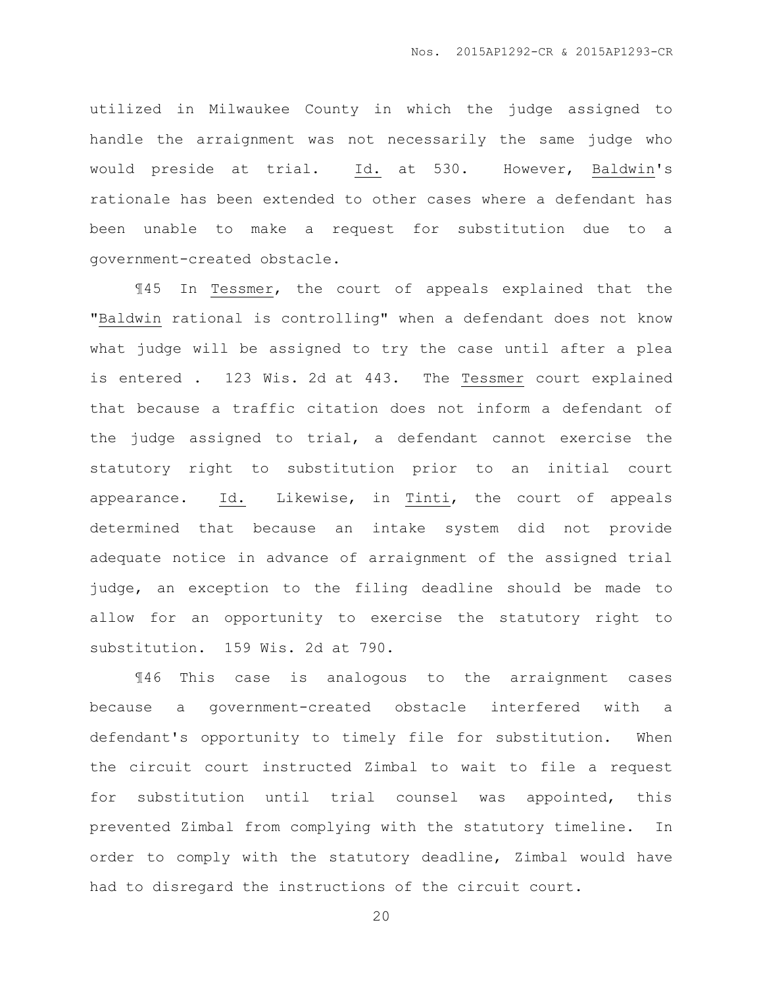utilized in Milwaukee County in which the judge assigned to handle the arraignment was not necessarily the same judge who would preside at trial. Id. at 530. However, Baldwin's rationale has been extended to other cases where a defendant has been unable to make a request for substitution due to a government-created obstacle.

¶45 In Tessmer, the court of appeals explained that the "Baldwin rational is controlling" when a defendant does not know what judge will be assigned to try the case until after a plea is entered . 123 Wis. 2d at 443. The Tessmer court explained that because a traffic citation does not inform a defendant of the judge assigned to trial, a defendant cannot exercise the statutory right to substitution prior to an initial court appearance. Id. Likewise, in Tinti, the court of appeals determined that because an intake system did not provide adequate notice in advance of arraignment of the assigned trial judge, an exception to the filing deadline should be made to allow for an opportunity to exercise the statutory right to substitution. 159 Wis. 2d at 790.

¶46 This case is analogous to the arraignment cases because a government-created obstacle interfered with a defendant's opportunity to timely file for substitution. When the circuit court instructed Zimbal to wait to file a request for substitution until trial counsel was appointed, this prevented Zimbal from complying with the statutory timeline. In order to comply with the statutory deadline, Zimbal would have had to disregard the instructions of the circuit court.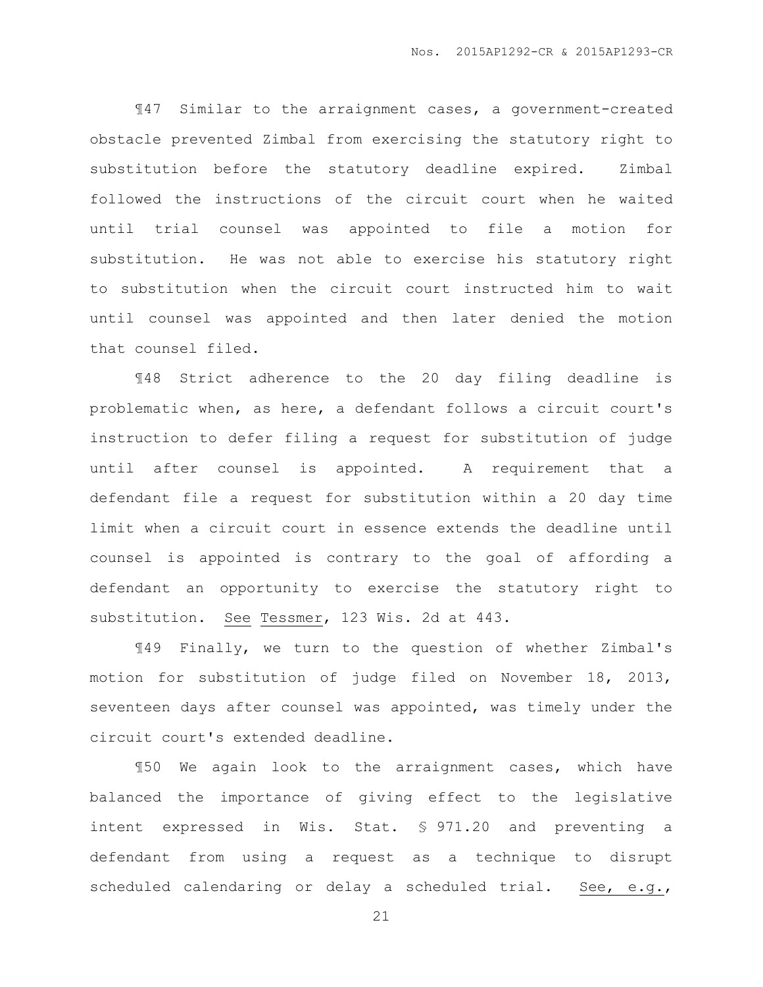¶47 Similar to the arraignment cases, a government-created obstacle prevented Zimbal from exercising the statutory right to substitution before the statutory deadline expired. Zimbal followed the instructions of the circuit court when he waited until trial counsel was appointed to file a motion for substitution. He was not able to exercise his statutory right to substitution when the circuit court instructed him to wait until counsel was appointed and then later denied the motion that counsel filed.

¶48 Strict adherence to the 20 day filing deadline is problematic when, as here, a defendant follows a circuit court's instruction to defer filing a request for substitution of judge until after counsel is appointed. A requirement that a defendant file a request for substitution within a 20 day time limit when a circuit court in essence extends the deadline until counsel is appointed is contrary to the goal of affording a defendant an opportunity to exercise the statutory right to substitution. See Tessmer, 123 Wis. 2d at 443.

¶49 Finally, we turn to the question of whether Zimbal's motion for substitution of judge filed on November 18, 2013, seventeen days after counsel was appointed, was timely under the circuit court's extended deadline.

¶50 We again look to the arraignment cases, which have balanced the importance of giving effect to the legislative intent expressed in Wis. Stat. § 971.20 and preventing a defendant from using a request as a technique to disrupt scheduled calendaring or delay a scheduled trial. See, e.g.,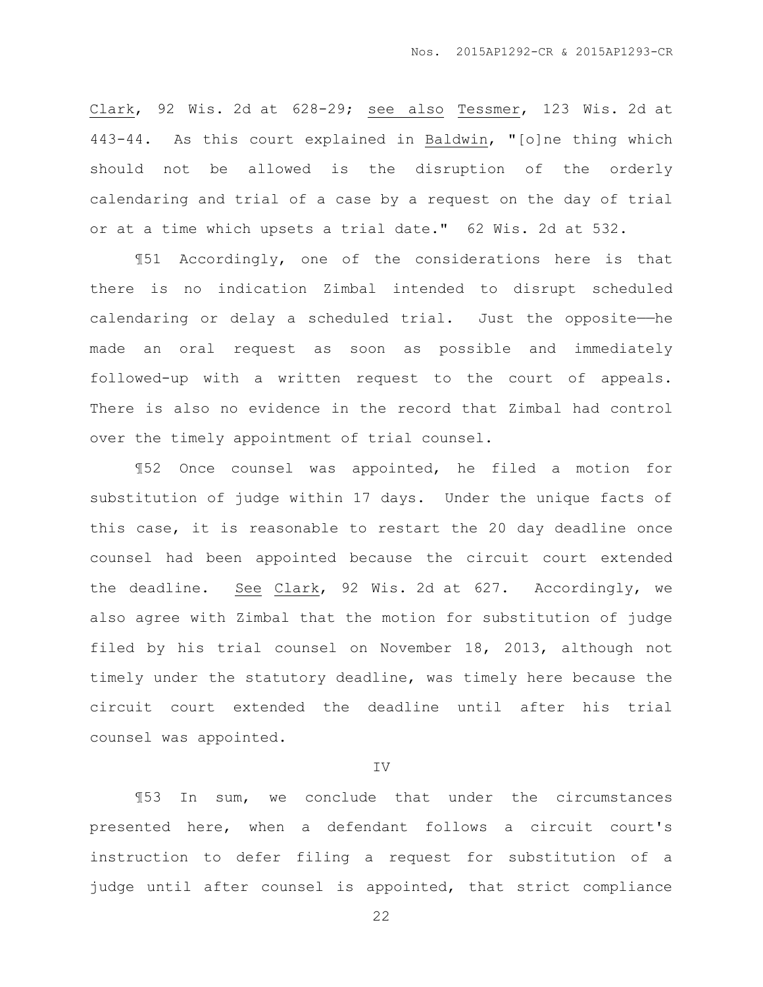Clark, 92 Wis. 2d at 628-29; see also Tessmer, 123 Wis. 2d at 443-44. As this court explained in Baldwin, "[o]ne thing which should not be allowed is the disruption of the orderly calendaring and trial of a case by a request on the day of trial or at a time which upsets a trial date." 62 Wis. 2d at 532.

¶51 Accordingly, one of the considerations here is that there is no indication Zimbal intended to disrupt scheduled calendaring or delay a scheduled trial. Just the opposite—he made an oral request as soon as possible and immediately followed-up with a written request to the court of appeals. There is also no evidence in the record that Zimbal had control over the timely appointment of trial counsel.

¶52 Once counsel was appointed, he filed a motion for substitution of judge within 17 days. Under the unique facts of this case, it is reasonable to restart the 20 day deadline once counsel had been appointed because the circuit court extended the deadline. See Clark, 92 Wis. 2d at 627. Accordingly, we also agree with Zimbal that the motion for substitution of judge filed by his trial counsel on November 18, 2013, although not timely under the statutory deadline, was timely here because the circuit court extended the deadline until after his trial counsel was appointed.

#### IV

¶53 In sum, we conclude that under the circumstances presented here, when a defendant follows a circuit court's instruction to defer filing a request for substitution of a judge until after counsel is appointed, that strict compliance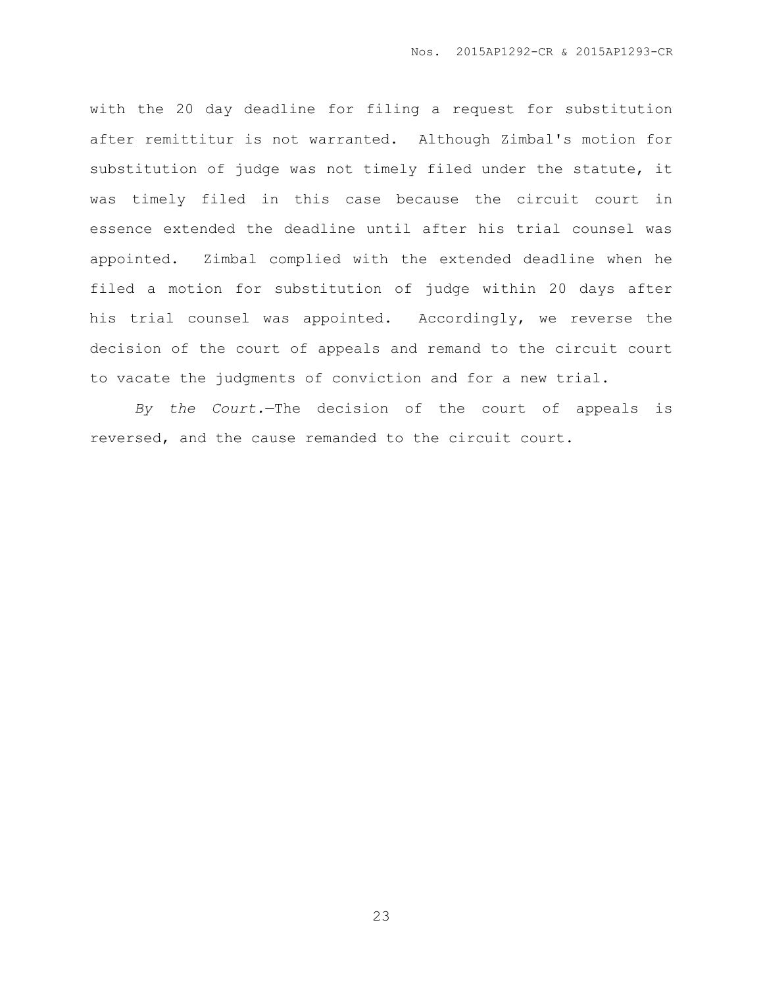with the 20 day deadline for filing a request for substitution after remittitur is not warranted. Although Zimbal's motion for substitution of judge was not timely filed under the statute, it was timely filed in this case because the circuit court in essence extended the deadline until after his trial counsel was appointed. Zimbal complied with the extended deadline when he filed a motion for substitution of judge within 20 days after his trial counsel was appointed. Accordingly, we reverse the decision of the court of appeals and remand to the circuit court to vacate the judgments of conviction and for a new trial.

*By the Court.*—The decision of the court of appeals is reversed, and the cause remanded to the circuit court.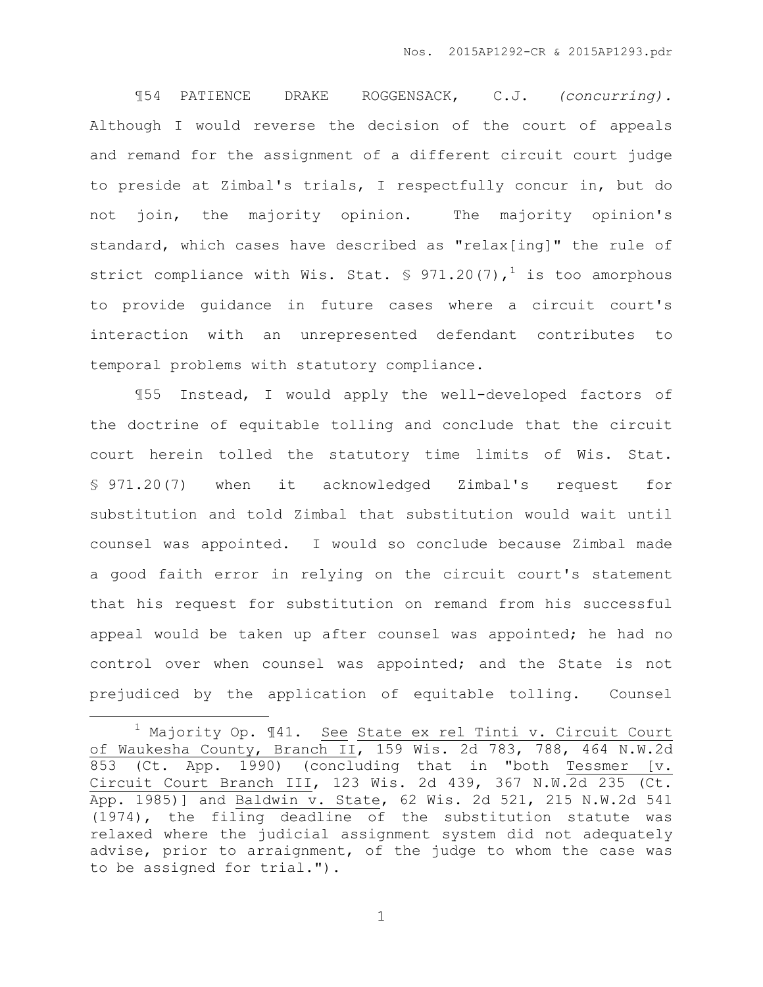¶54 PATIENCE DRAKE ROGGENSACK, C.J. *(concurring).* Although I would reverse the decision of the court of appeals and remand for the assignment of a different circuit court judge to preside at Zimbal's trials, I respectfully concur in, but do not join, the majority opinion. The majority opinion's standard, which cases have described as "relax[ing]" the rule of strict compliance with Wis. Stat.  $\frac{1}{2}$  971.20(7),<sup>1</sup> is too amorphous to provide guidance in future cases where a circuit court's interaction with an unrepresented defendant contributes to temporal problems with statutory compliance.

¶55 Instead, I would apply the well-developed factors of the doctrine of equitable tolling and conclude that the circuit court herein tolled the statutory time limits of Wis. Stat. § 971.20(7) when it acknowledged Zimbal's request for substitution and told Zimbal that substitution would wait until counsel was appointed. I would so conclude because Zimbal made a good faith error in relying on the circuit court's statement that his request for substitution on remand from his successful appeal would be taken up after counsel was appointed; he had no control over when counsel was appointed; and the State is not prejudiced by the application of equitable tolling. Counsel

 $\overline{a}$ 

<sup>&</sup>lt;sup>1</sup> Majority Op. 141. See State ex rel Tinti v. Circuit Court of Waukesha County, Branch II, 159 Wis. 2d 783, 788, 464 N.W.2d 853 (Ct. App. 1990) (concluding that in "both Tessmer [v. Circuit Court Branch III, 123 Wis. 2d 439, 367 N.W.2d 235 (Ct. App. 1985)] and Baldwin v. State, 62 Wis. 2d 521, 215 N.W.2d 541 (1974), the filing deadline of the substitution statute was relaxed where the judicial assignment system did not adequately advise, prior to arraignment, of the judge to whom the case was to be assigned for trial.").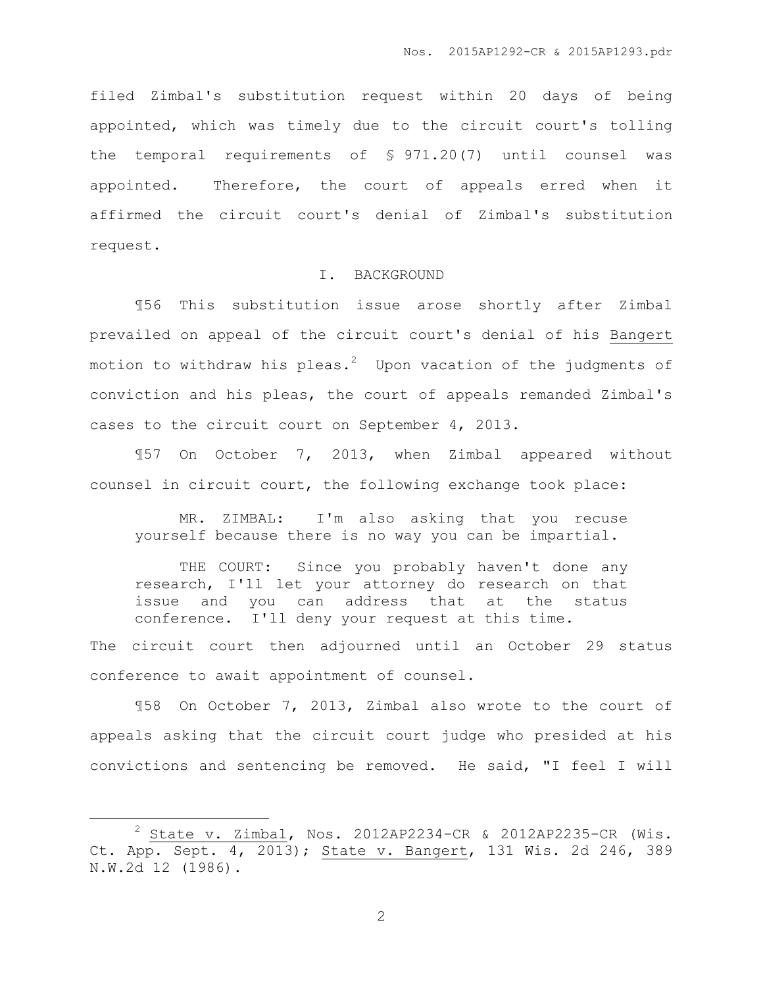filed Zimbal's substitution request within 20 days of being appointed, which was timely due to the circuit court's tolling the temporal requirements of § 971.20(7) until counsel was appointed. Therefore, the court of appeals erred when it affirmed the circuit court's denial of Zimbal's substitution request.

# I. BACKGROUND

¶56 This substitution issue arose shortly after Zimbal prevailed on appeal of the circuit court's denial of his Bangert motion to withdraw his pleas. $^{2}$  Upon vacation of the judgments of conviction and his pleas, the court of appeals remanded Zimbal's cases to the circuit court on September 4, 2013.

¶57 On October 7, 2013, when Zimbal appeared without counsel in circuit court, the following exchange took place:

MR. ZIMBAL: I'm also asking that you recuse yourself because there is no way you can be impartial.

THE COURT: Since you probably haven't done any research, I'll let your attorney do research on that issue and you can address that at the status conference. I'll deny your request at this time.

The circuit court then adjourned until an October 29 status conference to await appointment of counsel.

¶58 On October 7, 2013, Zimbal also wrote to the court of appeals asking that the circuit court judge who presided at his convictions and sentencing be removed. He said, "I feel I will

 $\overline{a}$ 

 $2$  State v. Zimbal, Nos. 2012AP2234-CR & 2012AP2235-CR (Wis. Ct. App. Sept. 4, 2013); State v. Bangert, 131 Wis. 2d 246, 389 N.W.2d 12 (1986).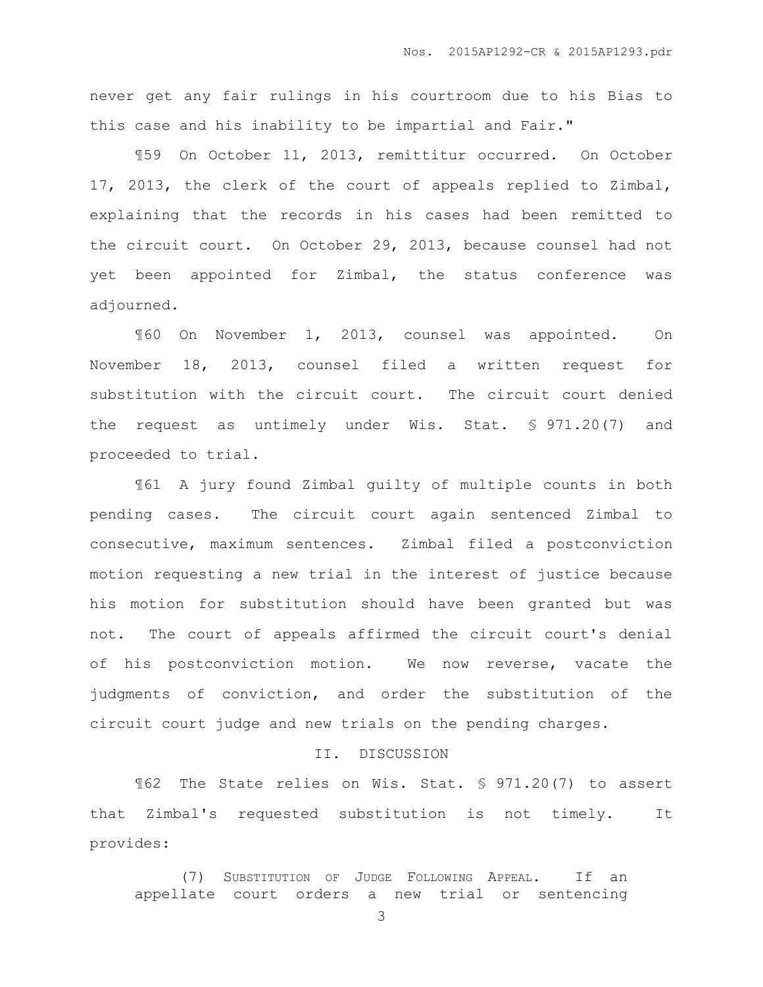never get any fair rulings in his courtroom due to his Bias to this case and his inability to be impartial and Fair."

¶59 On October 11, 2013, remittitur occurred. On October 17, 2013, the clerk of the court of appeals replied to Zimbal, explaining that the records in his cases had been remitted to the circuit court. On October 29, 2013, because counsel had not yet been appointed for Zimbal, the status conference was adjourned.

¶60 On November 1, 2013, counsel was appointed. On November 18, 2013, counsel filed a written request for substitution with the circuit court. The circuit court denied the request as untimely under Wis. Stat. § 971.20(7) and proceeded to trial.

¶61 A jury found Zimbal guilty of multiple counts in both pending cases. The circuit court again sentenced Zimbal to consecutive, maximum sentences. Zimbal filed a postconviction motion requesting a new trial in the interest of justice because his motion for substitution should have been granted but was not. The court of appeals affirmed the circuit court's denial of his postconviction motion. We now reverse, vacate the judgments of conviction, and order the substitution of the circuit court judge and new trials on the pending charges.

## II. DISCUSSION

¶62 The State relies on Wis. Stat. § 971.20(7) to assert that Zimbal's requested substitution is not timely. It provides:

(7) SUBSTITUTION OF JUDGE FOLLOWING APPEAL. If an appellate court orders a new trial or sentencing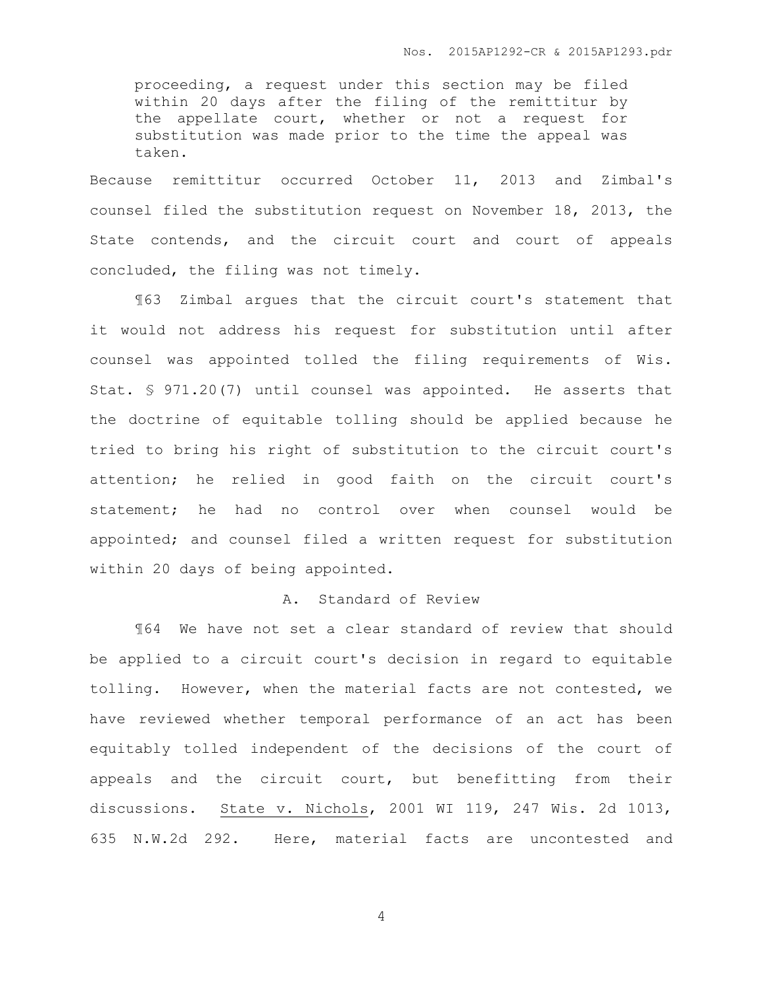proceeding, a request under this section may be filed within 20 days after the filing of the remittitur by the appellate court, whether or not a request for substitution was made prior to the time the appeal was taken.

Because remittitur occurred October 11, 2013 and Zimbal's counsel filed the substitution request on November 18, 2013, the State contends, and the circuit court and court of appeals concluded, the filing was not timely.

¶63 Zimbal argues that the circuit court's statement that it would not address his request for substitution until after counsel was appointed tolled the filing requirements of Wis. Stat. § 971.20(7) until counsel was appointed. He asserts that the doctrine of equitable tolling should be applied because he tried to bring his right of substitution to the circuit court's attention; he relied in good faith on the circuit court's statement; he had no control over when counsel would be appointed; and counsel filed a written request for substitution within 20 days of being appointed.

# A. Standard of Review

¶64 We have not set a clear standard of review that should be applied to a circuit court's decision in regard to equitable tolling. However, when the material facts are not contested, we have reviewed whether temporal performance of an act has been equitably tolled independent of the decisions of the court of appeals and the circuit court, but benefitting from their discussions. State v. Nichols, 2001 WI 119, 247 Wis. 2d 1013, 635 N.W.2d 292. Here, material facts are uncontested and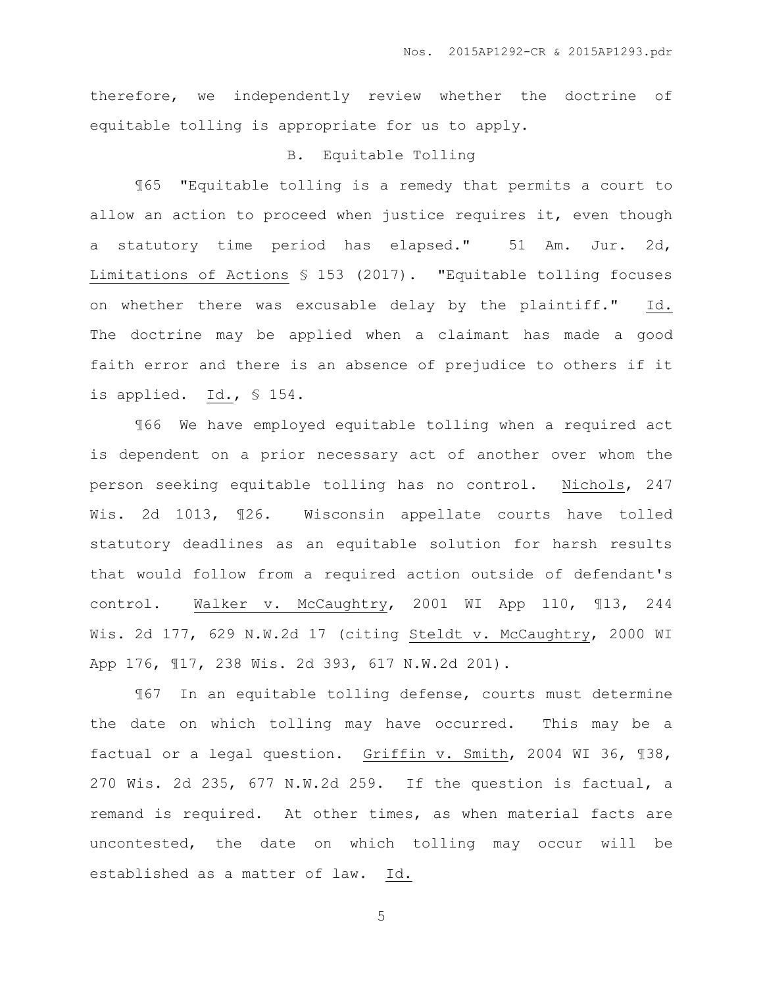therefore, we independently review whether the doctrine of equitable tolling is appropriate for us to apply.

## B. Equitable Tolling

¶65 "Equitable tolling is a remedy that permits a court to allow an action to proceed when justice requires it, even though a statutory time period has elapsed." 51 Am. Jur. 2d, Limitations of Actions § 153 (2017). "Equitable tolling focuses on whether there was excusable delay by the plaintiff." Id. The doctrine may be applied when a claimant has made a good faith error and there is an absence of prejudice to others if it is applied. Id., § 154.

¶66 We have employed equitable tolling when a required act is dependent on a prior necessary act of another over whom the person seeking equitable tolling has no control. Nichols, 247 Wis. 2d 1013, ¶26. Wisconsin appellate courts have tolled statutory deadlines as an equitable solution for harsh results that would follow from a required action outside of defendant's control. Walker v. McCaughtry, 2001 WI App 110, ¶13, 244 Wis. 2d 177, 629 N.W.2d 17 (citing Steldt v. McCaughtry, 2000 WI App 176, ¶17, 238 Wis. 2d 393, 617 N.W.2d 201).

¶67 In an equitable tolling defense, courts must determine the date on which tolling may have occurred. This may be a factual or a legal question. Griffin v. Smith, 2004 WI 36, ¶38, 270 Wis. 2d 235, 677 N.W.2d 259. If the question is factual, a remand is required. At other times, as when material facts are uncontested, the date on which tolling may occur will be established as a matter of law. Id.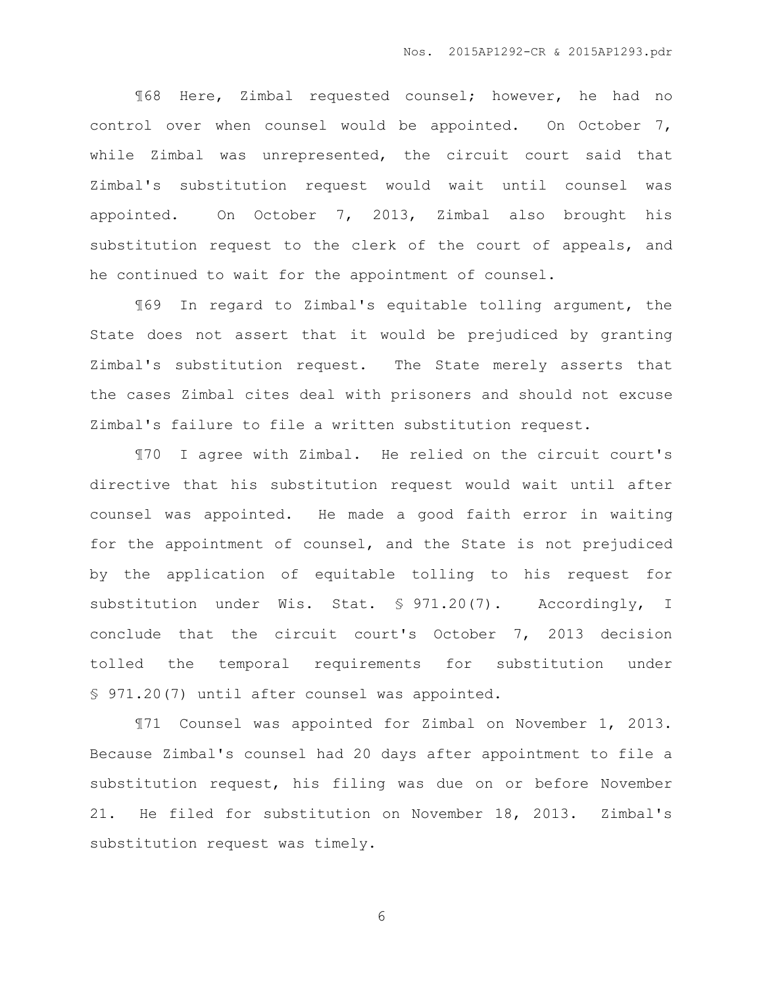¶68 Here, Zimbal requested counsel; however, he had no control over when counsel would be appointed. On October 7, while Zimbal was unrepresented, the circuit court said that Zimbal's substitution request would wait until counsel was appointed. On October 7, 2013, Zimbal also brought his substitution request to the clerk of the court of appeals, and he continued to wait for the appointment of counsel.

¶69 In regard to Zimbal's equitable tolling argument, the State does not assert that it would be prejudiced by granting Zimbal's substitution request. The State merely asserts that the cases Zimbal cites deal with prisoners and should not excuse Zimbal's failure to file a written substitution request.

¶70 I agree with Zimbal. He relied on the circuit court's directive that his substitution request would wait until after counsel was appointed. He made a good faith error in waiting for the appointment of counsel, and the State is not prejudiced by the application of equitable tolling to his request for substitution under Wis. Stat. § 971.20(7). Accordingly, I conclude that the circuit court's October 7, 2013 decision tolled the temporal requirements for substitution under § 971.20(7) until after counsel was appointed.

¶71 Counsel was appointed for Zimbal on November 1, 2013. Because Zimbal's counsel had 20 days after appointment to file a substitution request, his filing was due on or before November 21. He filed for substitution on November 18, 2013. Zimbal's substitution request was timely.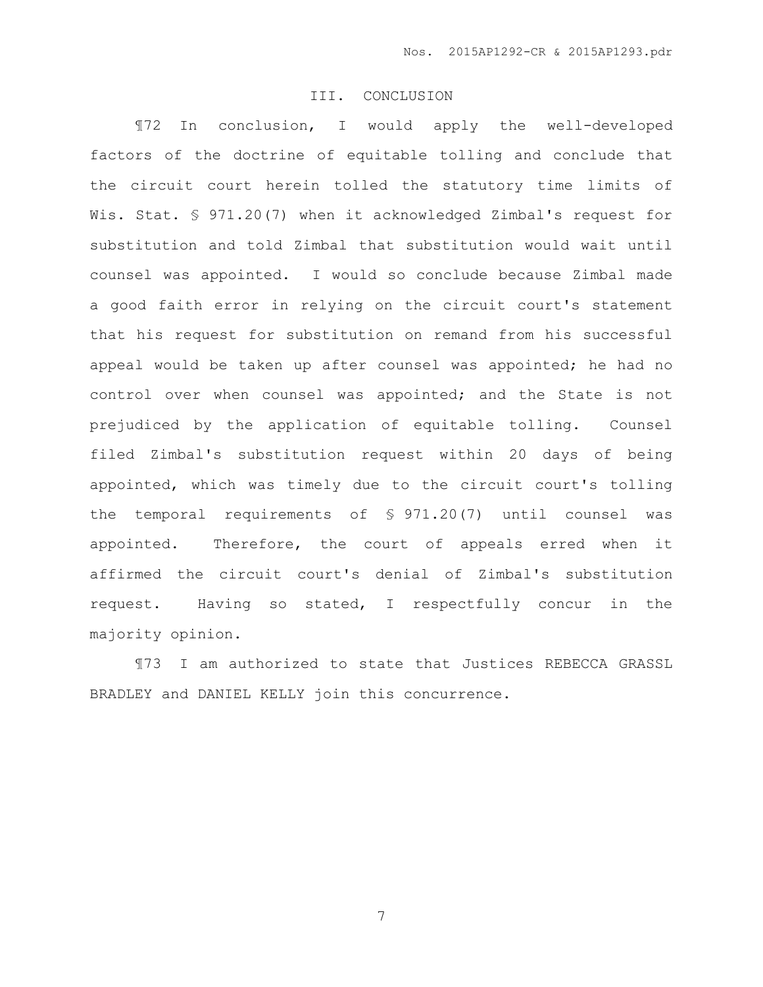#### III. CONCLUSION

¶72 In conclusion, I would apply the well-developed factors of the doctrine of equitable tolling and conclude that the circuit court herein tolled the statutory time limits of Wis. Stat. § 971.20(7) when it acknowledged Zimbal's request for substitution and told Zimbal that substitution would wait until counsel was appointed. I would so conclude because Zimbal made a good faith error in relying on the circuit court's statement that his request for substitution on remand from his successful appeal would be taken up after counsel was appointed; he had no control over when counsel was appointed; and the State is not prejudiced by the application of equitable tolling. Counsel filed Zimbal's substitution request within 20 days of being appointed, which was timely due to the circuit court's tolling the temporal requirements of § 971.20(7) until counsel was appointed. Therefore, the court of appeals erred when it affirmed the circuit court's denial of Zimbal's substitution request. Having so stated, I respectfully concur in the majority opinion.

¶73 I am authorized to state that Justices REBECCA GRASSL BRADLEY and DANIEL KELLY join this concurrence.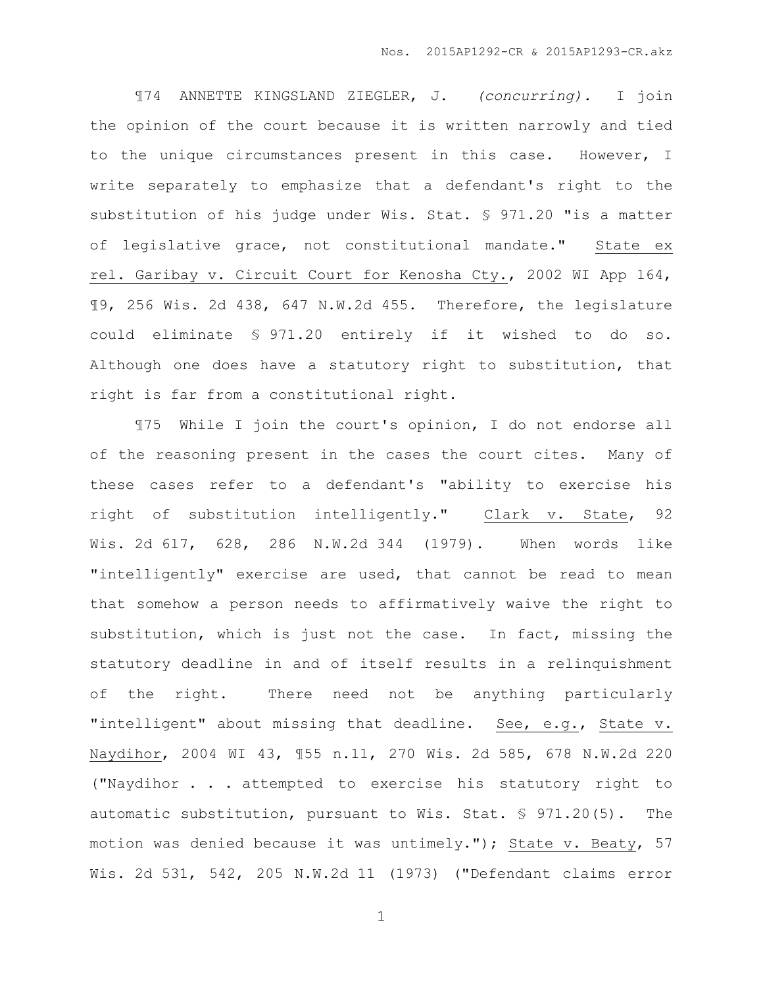¶74 ANNETTE KINGSLAND ZIEGLER, J. *(concurring).* I join the opinion of the court because it is written narrowly and tied to the unique circumstances present in this case. However, I write separately to emphasize that a defendant's right to the substitution of his judge under Wis. Stat. § 971.20 "is a matter of legislative grace, not constitutional mandate." State ex rel. Garibay v. Circuit Court for Kenosha Cty., 2002 WI App 164, ¶9, 256 Wis. 2d 438, 647 N.W.2d 455. Therefore, the legislature could eliminate § 971.20 entirely if it wished to do so. Although one does have a statutory right to substitution, that right is far from a constitutional right.

¶75 While I join the court's opinion, I do not endorse all of the reasoning present in the cases the court cites. Many of these cases refer to a defendant's "ability to exercise his right of substitution intelligently." Clark v. State, 92 Wis. 2d 617, 628, 286 N.W.2d 344 (1979). When words like "intelligently" exercise are used, that cannot be read to mean that somehow a person needs to affirmatively waive the right to substitution, which is just not the case. In fact, missing the statutory deadline in and of itself results in a relinquishment of the right. There need not be anything particularly "intelligent" about missing that deadline. See, e.g., State v. Naydihor, 2004 WI 43, ¶55 n.11, 270 Wis. 2d 585, 678 N.W.2d 220 ("Naydihor . . . attempted to exercise his statutory right to automatic substitution, pursuant to Wis. Stat. § 971.20(5). The motion was denied because it was untimely."); State v. Beaty, 57 Wis. 2d 531, 542, 205 N.W.2d 11 (1973) ("Defendant claims error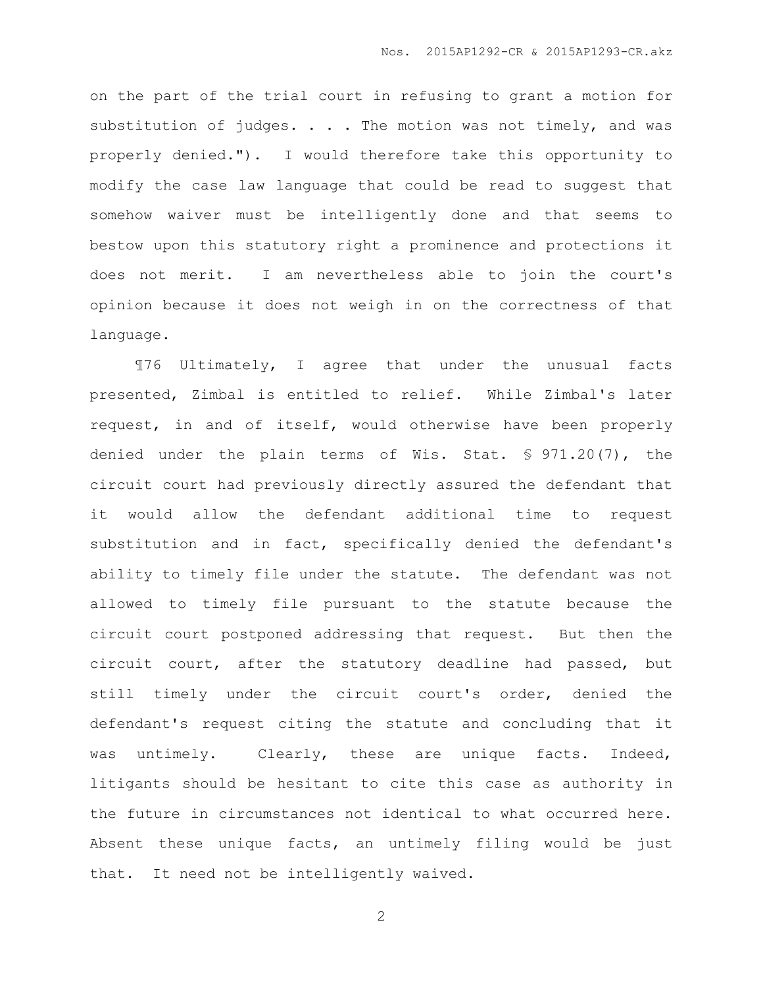on the part of the trial court in refusing to grant a motion for substitution of judges. . . . The motion was not timely, and was properly denied."). I would therefore take this opportunity to modify the case law language that could be read to suggest that somehow waiver must be intelligently done and that seems to bestow upon this statutory right a prominence and protections it does not merit. I am nevertheless able to join the court's opinion because it does not weigh in on the correctness of that language.

¶76 Ultimately, I agree that under the unusual facts presented, Zimbal is entitled to relief. While Zimbal's later request, in and of itself, would otherwise have been properly denied under the plain terms of Wis. Stat. § 971.20(7), the circuit court had previously directly assured the defendant that it would allow the defendant additional time to request substitution and in fact, specifically denied the defendant's ability to timely file under the statute. The defendant was not allowed to timely file pursuant to the statute because the circuit court postponed addressing that request. But then the circuit court, after the statutory deadline had passed, but still timely under the circuit court's order, denied the defendant's request citing the statute and concluding that it was untimely. Clearly, these are unique facts. Indeed, litigants should be hesitant to cite this case as authority in the future in circumstances not identical to what occurred here. Absent these unique facts, an untimely filing would be just that. It need not be intelligently waived.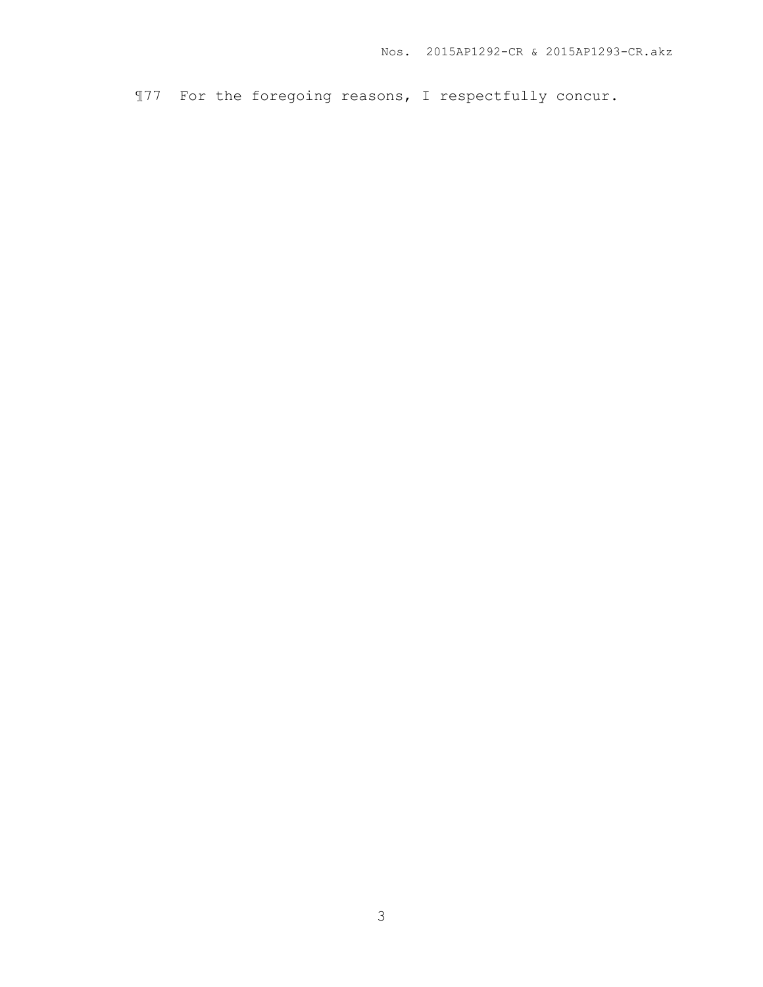¶77 For the foregoing reasons, I respectfully concur.